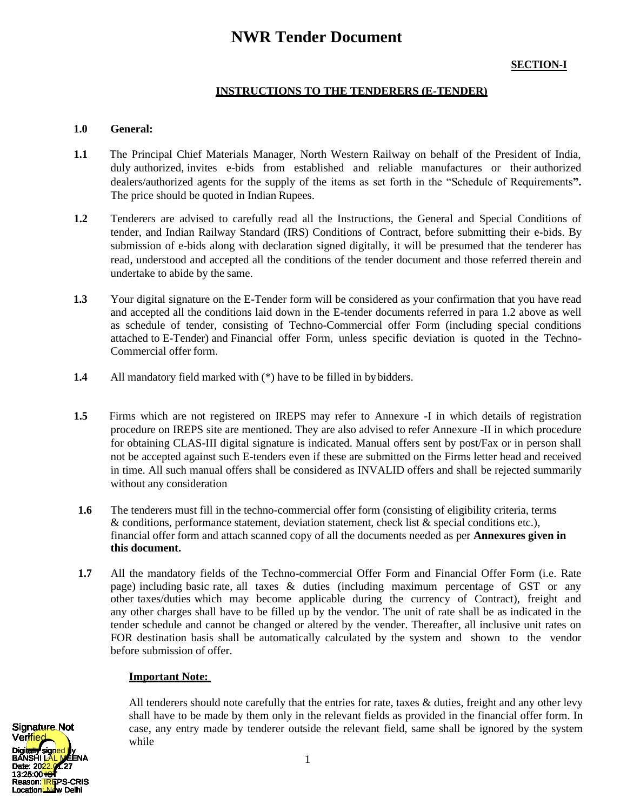# **NWR Tender Document**

# **SECTION-I**

## **INSTRUCTIONS TO THE TENDERERS (E-TENDER)**

### **1.0 General:**

- **1.1** The Principal Chief Materials Manager, North Western Railway on behalf of the President of India, duly authorized, invites e-bids from established and reliable manufactures or their authorized dealers/authorized agents for the supply of the items as set forth in the "Schedule of Requirements**".**  The price should be quoted in Indian Rupees.
- **1.2** Tenderers are advised to carefully read all the Instructions, the General and Special Conditions of tender, and Indian Railway Standard (IRS) Conditions of Contract, before submitting their e-bids. By submission of e-bids along with declaration signed digitally, it will be presumed that the tenderer has read, understood and accepted all the conditions of the tender document and those referred therein and undertake to abide by the same.
- **1.3** Your digital signature on the E-Tender form will be considered as your confirmation that you have read and accepted all the conditions laid down in the E-tender documents referred in para 1.2 above as well as schedule of tender, consisting of Techno-Commercial offer Form (including special conditions attached to E-Tender) and Financial offer Form, unless specific deviation is quoted in the Techno-Commercial offer form.
- **1.4** All mandatory field marked with (\*) have to be filled in bybidders.
- **1.5** Firms which are not registered on IREPS may refer to Annexure -I in which details of registration procedure on IREPS site are mentioned. They are also advised to refer Annexure -II in which procedure for obtaining CLAS-III digital signature is indicated. Manual offers sent by post/Fax or in person shall not be accepted against such E-tenders even if these are submitted on the Firms letter head and received in time. All such manual offers shall be considered as INVALID offers and shall be rejected summarily without any consideration
- **1.6** The tenderers must fill in the techno-commercial offer form (consisting of eligibility criteria, terms & conditions, performance statement, deviation statement, check list & special conditions etc.), financial offer form and attach scanned copy of all the documents needed as per **Annexures given in this document.**
- **1.7** All the mandatory fields of the Techno-commercial Offer Form and Financial Offer Form (i.e. Rate page) including basic rate, all taxes & duties (including maximum percentage of GST or any other taxes/duties which may become applicable during the currency of Contract), freight and any other charges shall have to be filled up by the vendor. The unit of rate shall be as indicated in the tender schedule and cannot be changed or altered by the vender. Thereafter, all inclusive unit rates on FOR destination basis shall be automatically calculated by the system and shown to the vendor before submission of offer.

### **Important Note:**

All tenderers should note carefully that the entries for rate, taxes & duties, freight and any other levy shall have to be made by them only in the relevant fields as provided in the financial offer form. In case, any entry made by tenderer outside the relevant field, same shall be ignored by the system while

Digitally signed by EENA Date: 20<mark>22.0</mark>1.27 13:25:00 <del>IST</del> **CRIS** Location<mark>: Ne</mark>w Delhi Signa<del>ture</del> Not Ver<mark>ified</mark>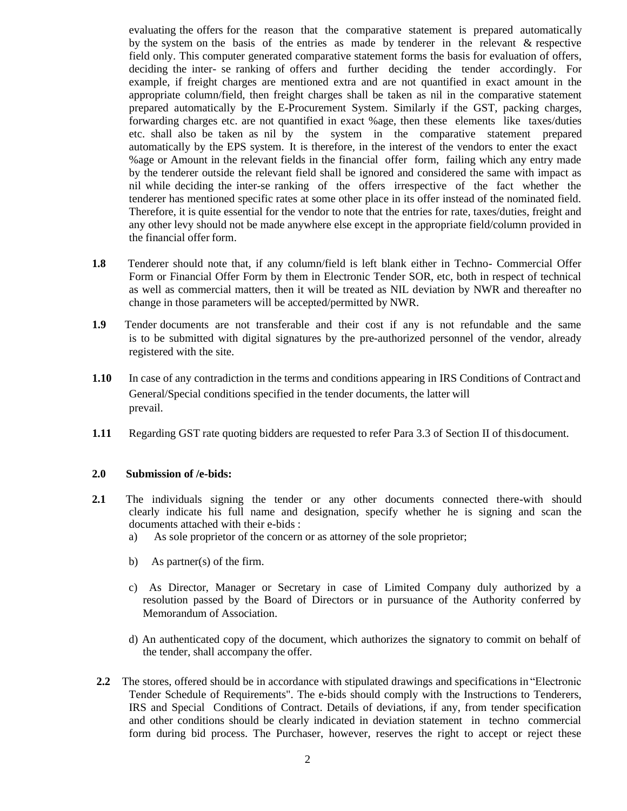evaluating the offers for the reason that the comparative statement is prepared automatically by the system on the basis of the entries as made by tenderer in the relevant & respective field only. This computer generated comparative statement forms the basis for evaluation of offers, deciding the inter- se ranking of offers and further deciding the tender accordingly. For example, if freight charges are mentioned extra and are not quantified in exact amount in the appropriate column/field, then freight charges shall be taken as nil in the comparative statement prepared automatically by the E-Procurement System. Similarly if the GST, packing charges, forwarding charges etc. are not quantified in exact %age, then these elements like taxes/duties etc. shall also be taken as nil by the system in the comparative statement prepared automatically by the EPS system. It is therefore, in the interest of the vendors to enter the exact %age or Amount in the relevant fields in the financial offer form, failing which any entry made by the tenderer outside the relevant field shall be ignored and considered the same with impact as nil while deciding the inter-se ranking of the offers irrespective of the fact whether the tenderer has mentioned specific rates at some other place in its offer instead of the nominated field. Therefore, it is quite essential for the vendor to note that the entries for rate, taxes/duties, freight and any other levy should not be made anywhere else except in the appropriate field/column provided in the financial offer form.

- **1.8** Tenderer should note that, if any column/field is left blank either in Techno- Commercial Offer Form or Financial Offer Form by them in Electronic Tender SOR, etc, both in respect of technical as well as commercial matters, then it will be treated as NIL deviation by NWR and thereafter no change in those parameters will be accepted/permitted by NWR.
- **1.9** Tender documents are not transferable and their cost if any is not refundable and the same is to be submitted with digital signatures by the pre-authorized personnel of the vendor, already registered with the site.
- **1.10** In case of any contradiction in the terms and conditions appearing in IRS Conditions of Contract and General/Special conditions specified in the tender documents, the latter will prevail.
- **1.11** Regarding GST rate quoting bidders are requested to refer Para 3.3 of Section II of thisdocument.

#### **2.0 Submission of /e-bids:**

- **2.1** The individuals signing the tender or any other documents connected there-with should clearly indicate his full name and designation, specify whether he is signing and scan the documents attached with their e-bids :
	- a) As sole proprietor of the concern or as attorney of the sole proprietor;
	- b) As partner(s) of the firm.
	- c) As Director, Manager or Secretary in case of Limited Company duly authorized by a resolution passed by the Board of Directors or in pursuance of the Authority conferred by Memorandum of Association.
	- d) An authenticated copy of the document, which authorizes the signatory to commit on behalf of the tender, shall accompany the offer.
- **2.2** The stores, offered should be in accordance with stipulated drawings and specifications in "Electronic Tender Schedule of Requirements". The e-bids should comply with the Instructions to Tenderers, IRS and Special Conditions of Contract. Details of deviations, if any, from tender specification and other conditions should be clearly indicated in deviation statement in techno commercial form during bid process. The Purchaser, however, reserves the right to accept or reject these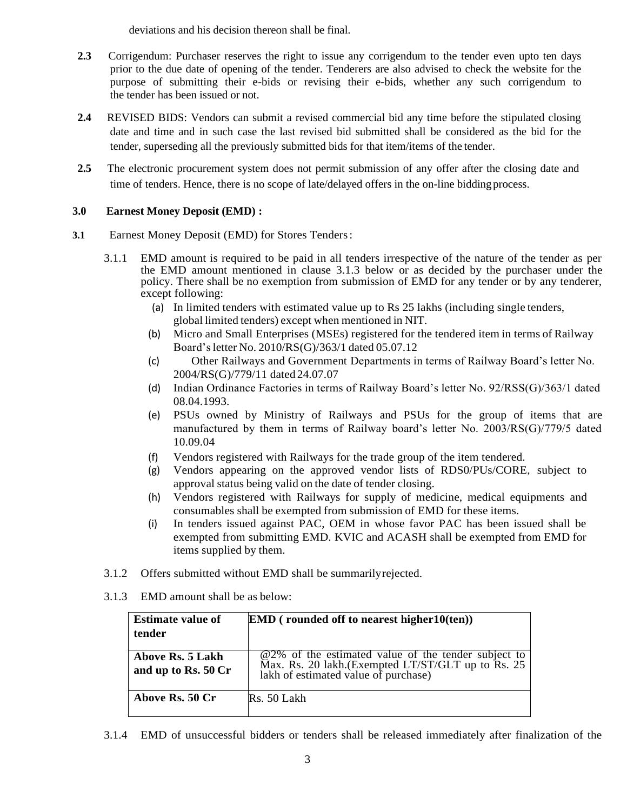deviations and his decision thereon shall be final.

- **2.3** Corrigendum: Purchaser reserves the right to issue any corrigendum to the tender even upto ten days prior to the due date of opening of the tender. Tenderers are also advised to check the website for the purpose of submitting their e-bids or revising their e-bids, whether any such corrigendum to the tender has been issued or not.
- **2.4** REVISED BIDS: Vendors can submit a revised commercial bid any time before the stipulated closing date and time and in such case the last revised bid submitted shall be considered as the bid for the tender, superseding all the previously submitted bids for that item/items of the tender.
- **2.5** The electronic procurement system does not permit submission of any offer after the closing date and time of tenders. Hence, there is no scope of late/delayed offers in the on-line biddingprocess.

# **3.0 Earnest Money Deposit (EMD) :**

- **3.1** Earnest Money Deposit (EMD) for Stores Tenders:
	- 3.1.1 EMD amount is required to be paid in all tenders irrespective of the nature of the tender as per the EMD amount mentioned in clause 3.1.3 below or as decided by the purchaser under the policy. There shall be no exemption from submission of EMD for any tender or by any tenderer, except following:
		- (a) In limited tenders with estimated value up to Rs 25 lakhs (including single tenders, global limited tenders) except when mentioned in NIT.
		- (b) Micro and Small Enterprises (MSEs) registered for the tendered item in terms of Railway Board'sletter No. 2010/RS(G)/363/1 dated 05.07.12
		- (c) Other Railways and Government Departments in terms of Railway Board's letter No. 2004/RS(G)/779/11 dated 24.07.07
		- (d) Indian Ordinance Factories in terms of Railway Board's letter No. 92/RSS(G)/363/1 dated 08.04.1993.
		- (e) PSUs owned by Ministry of Railways and PSUs for the group of items that are manufactured by them in terms of Railway board's letter No. 2003/RS(G)/779/5 dated 10.09.04
		- (f) Vendors registered with Railways for the trade group of the item tendered.
		- (g) Vendors appearing on the approved vendor lists of RDS0/PUs/CORE, subject to approval status being valid on the date of tender closing.
		- (h) Vendors registered with Railways for supply of medicine, medical equipments and consumables shall be exempted from submission of EMD for these items.
		- (i) In tenders issued against PAC, OEM in whose favor PAC has been issued shall be exempted from submitting EMD. KVIC and ACASH shall be exempted from EMD for items supplied by them.
	- 3.1.2 Offers submitted without EMD shall be summarilyrejected.
	- 3.1.3 EMD amount shall be as below:

| <b>Estimate value of</b><br>tender      | $EMD$ (rounded off to nearest higher $10$ (ten))                                                                                              |
|-----------------------------------------|-----------------------------------------------------------------------------------------------------------------------------------------------|
| Above Rs. 5 Lakh<br>and up to Rs. 50 Cr | @2% of the estimated value of the tender subject to Max. Rs. 20 lakh.(Exempted LT/ST/GLT up to Rs. 25<br>lakh of estimated value of purchase) |
| Above Rs. 50 Cr                         | Rs. 50 Lakh                                                                                                                                   |

3.1.4 EMD of unsuccessful bidders or tenders shall be released immediately after finalization of the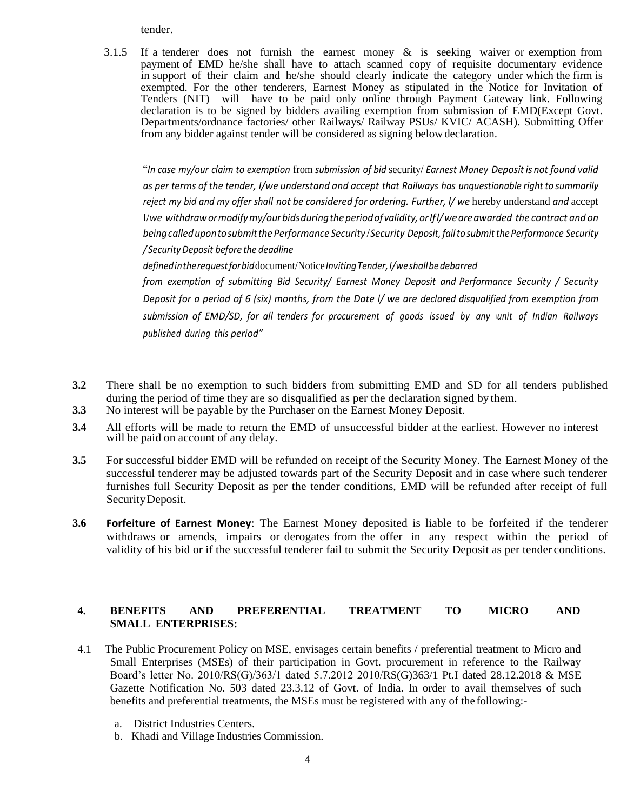tender.

3.1.5 If a tenderer does not furnish the earnest money & is seeking waiver or exemption from payment of EMD he/she shall have to attach scanned copy of requisite documentary evidence in support of their claim and he/she should clearly indicate the category under which the firm is exempted. For the other tenderers, Earnest Money as stipulated in the Notice for Invitation of Tenders (NIT) will have to be paid only online through Payment Gateway link. Following declaration is to be signed by bidders availing exemption from submission of EMD(Except Govt. Departments/ordnance factories/ other Railways/ Railway PSUs/ KVIC/ ACASH). Submitting Offer from any bidder against tender will be considered as signing belowdeclaration.

"*In case my/our claim to exemption* from *submission of bid* security/ *Earnest Money Depositis not found valid as per terms of the tender, I/we understand and accept that Railways has unquestionable right to summarily reject my bid and my offer shall not be considered for ordering. Further, l/ we* hereby understand *and* accept I/*we withdrawormodifymy/ourbidsduringthe periodofvalidity,orIfl/weareawarded the contract and on beingcalledupontosubmitthe Performance Security* /*Security Deposit,failto submitthePerformance Security / SecurityDeposit before the deadline*

*definedintherequestforbid*document/Notice*InvitingTender,I/weshallbedebarred*

*from exemption of submitting Bid Security/ Earnest Money Deposit and Performance Security / Security* Deposit for a period of 6 (six) months, from the Date I/ we are declared disqualified from exemption from *submission of EMD/SD, for all tenders for procurement of goods issued by any ‹unit of Indian Railways published during this period"*

- **3.2** There shall be no exemption to such bidders from submitting EMD and SD for all tenders published during the period of time they are so disqualified as per the declaration signed by them.
- **3.3** No interest will be payable by the Purchaser on the Earnest Money Deposit.
- **3.4** All efforts will be made to return the EMD of unsuccessful bidder at the earliest. However no interest will be paid on account of any delay.
- **3.5** For successful bidder EMD will be refunded on receipt of the Security Money. The Earnest Money of the successful tenderer may be adjusted towards part of the Security Deposit and in case where such tenderer furnishes full Security Deposit as per the tender conditions, EMD will be refunded after receipt of full SecurityDeposit.
- **3.6 Forfeiture of Earnest Money**: The Earnest Money deposited is liable to be forfeited if the tenderer withdraws or amends, impairs or derogates from the offer in any respect within the period of validity of his bid or if the successful tenderer fail to submit the Security Deposit as per tender conditions.

# **4. BENEFITS AND PREFERENTIAL TREATMENT TO MICRO AND SMALL ENTERPRISES:**

- 4.1 The Public Procurement Policy on MSE, envisages certain benefits / preferential treatment to Micro and Small Enterprises (MSEs) of their participation in Govt. procurement in reference to the Railway Board's letter No. 2010/RS(G)/363/1 dated 5.7.2012 2010/RS(G)363/1 Pt.I dated 28.12.2018 & MSE Gazette Notification No. 503 dated 23.3.12 of Govt. of India. In order to avail themselves of such benefits and preferential treatments, the MSEs must be registered with any of the following:
	- a. District Industries Centers.
	- b. Khadi and Village Industries Commission.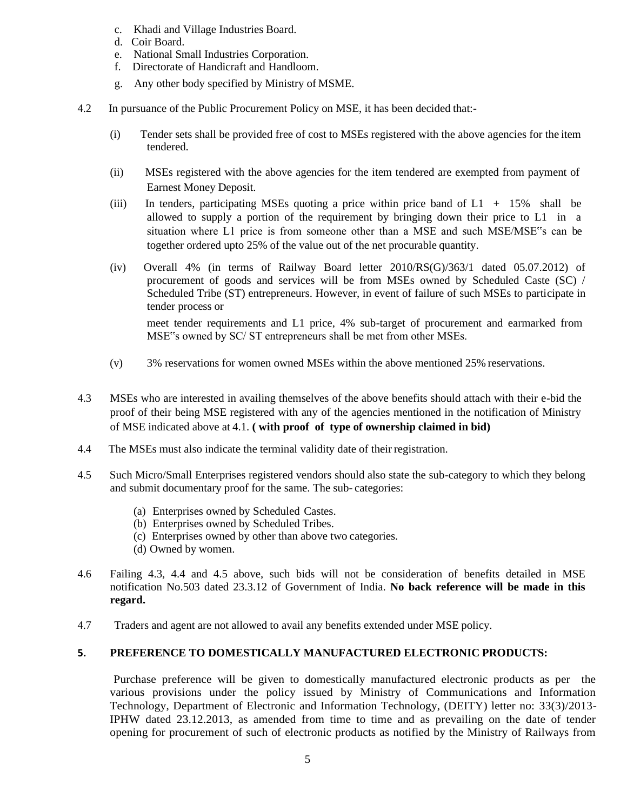- c. Khadi and Village Industries Board.
- d. Coir Board.
- e. National Small Industries Corporation.
- f. Directorate of Handicraft and Handloom.
- g. Any other body specified by Ministry of MSME.
- 4.2 In pursuance of the Public Procurement Policy on MSE, it has been decided that:-
	- (i) Tender sets shall be provided free of cost to MSEs registered with the above agencies for the item tendered.
	- (ii) MSEs registered with the above agencies for the item tendered are exempted from payment of Earnest Money Deposit.
	- (iii) In tenders, participating MSEs quoting a price within price band of  $L1 + 15\%$  shall be allowed to supply a portion of the requirement by bringing down their price to L1 in a situation where L1 price is from someone other than a MSE and such MSE/MSE"s can be together ordered upto 25% of the value out of the net procurable quantity.
	- (iv) Overall 4% (in terms of Railway Board letter 2010/RS(G)/363/1 dated 05.07.2012) of procurement of goods and services will be from MSEs owned by Scheduled Caste (SC) / Scheduled Tribe (ST) entrepreneurs. However, in event of failure of such MSEs to participate in tender process or

meet tender requirements and L1 price, 4% sub-target of procurement and earmarked from MSE"s owned by SC/ ST entrepreneurs shall be met from other MSEs.

- (v) 3% reservations for women owned MSEs within the above mentioned 25% reservations.
- 4.3 MSEs who are interested in availing themselves of the above benefits should attach with their e-bid the proof of their being MSE registered with any of the agencies mentioned in the notification of Ministry of MSE indicated above at 4.1. **( with proof of type of ownership claimed in bid)**
- 4.4 The MSEs must also indicate the terminal validity date of their registration.
- 4.5 Such Micro/Small Enterprises registered vendors should also state the sub-category to which they belong and submit documentary proof for the same. The sub- categories:
	- (a) Enterprises owned by Scheduled Castes.
	- (b) Enterprises owned by Scheduled Tribes.
	- (c) Enterprises owned by other than above two categories.
	- (d) Owned by women.
- 4.6 Failing 4.3, 4.4 and 4.5 above, such bids will not be consideration of benefits detailed in MSE notification No.503 dated 23.3.12 of Government of India. **No back reference will be made in this regard.**
- 4.7 Traders and agent are not allowed to avail any benefits extended under MSE policy.

### **5. PREFERENCE TO DOMESTICALLY MANUFACTURED ELECTRONIC PRODUCTS:**

Purchase preference will be given to domestically manufactured electronic products as per the various provisions under the policy issued by Ministry of Communications and Information Technology, Department of Electronic and Information Technology, (DEITY) letter no: 33(3)/2013- IPHW dated 23.12.2013, as amended from time to time and as prevailing on the date of tender opening for procurement of such of electronic products as notified by the Ministry of Railways from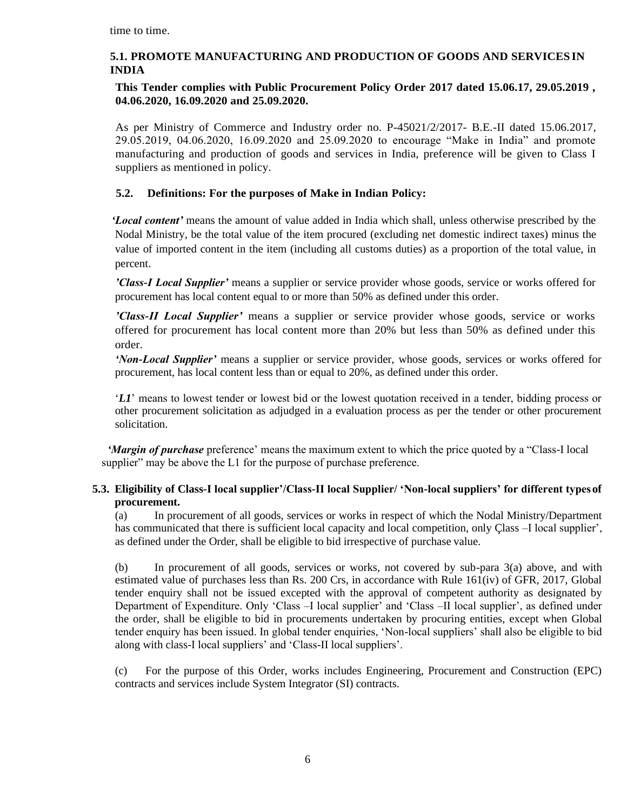time to time.

# **5.1. PROMOTE MANUFACTURING AND PRODUCTION OF GOODS AND SERVICES IN INDIA**

# **This Tender complies with Public Procurement Policy Order 2017 dated 15.06.17, 29.05.2019 , 04.06.2020, 16.09.2020 and 25.09.2020.**

As per Ministry of Commerce and Industry order no. P-45021/2/2017- B.E.-II dated 15.06.2017, 29.05.2019, 04.06.2020, 16.09.2020 and 25.09.2020 to encourage "Make in India" and promote manufacturing and production of goods and services in India, preference will be given to Class I suppliers as mentioned in policy.

# **5.2. Definitions: For the purposes of Make in Indian Policy:**

*'Local content'* means the amount of value added in India which shall, unless otherwise prescribed by the Nodal Ministry, be the total value of the item procured (excluding net domestic indirect taxes) minus the value of imported content in the item (including all customs duties) as a proportion of the total value, in percent.

*'Class-I Local Supplier'* means a supplier or service provider whose goods, service or works offered for procurement has local content equal to or more than 50% as defined under this order.

*'Class-II Local Supplier'* means a supplier or service provider whose goods, service or works offered for procurement has local content more than 20% but less than 50% as defined under this order.

*'Non-Local Supplier'* means a supplier or service provider, whose goods, services or works offered for procurement, has local content less than or equal to 20%, as defined under this order.

'*L1*' means to lowest tender or lowest bid or the lowest quotation received in a tender, bidding process or other procurement solicitation as adjudged in a evaluation process as per the tender or other procurement solicitation.

*'Margin of purchase* preference' means the maximum extent to which the price quoted by a "Class-I local supplier" may be above the L1 for the purpose of purchase preference.

# **5.3. Eligibility of Class-I local supplier'/Class-II local Supplier/ 'Non-local suppliers' for different types of procurement.**

(a) In procurement of all goods, services or works in respect of which the Nodal Ministry/Department has communicated that there is sufficient local capacity and local competition, only Çlass –I local supplier', as defined under the Order, shall be eligible to bid irrespective of purchase value.

(b) In procurement of all goods, services or works, not covered by sub-para 3(a) above, and with estimated value of purchases less than Rs. 200 Crs, in accordance with Rule 161(iv) of GFR, 2017, Global tender enquiry shall not be issued excepted with the approval of competent authority as designated by Department of Expenditure. Only 'Class –I local supplier' and 'Class –II local supplier', as defined under the order, shall be eligible to bid in procurements undertaken by procuring entities, except when Global tender enquiry has been issued. In global tender enquiries, 'Non-local suppliers' shall also be eligible to bid along with class-I local suppliers' and 'Class-II local suppliers'.

(c) For the purpose of this Order, works includes Engineering, Procurement and Construction (EPC) contracts and services include System Integrator (SI) contracts.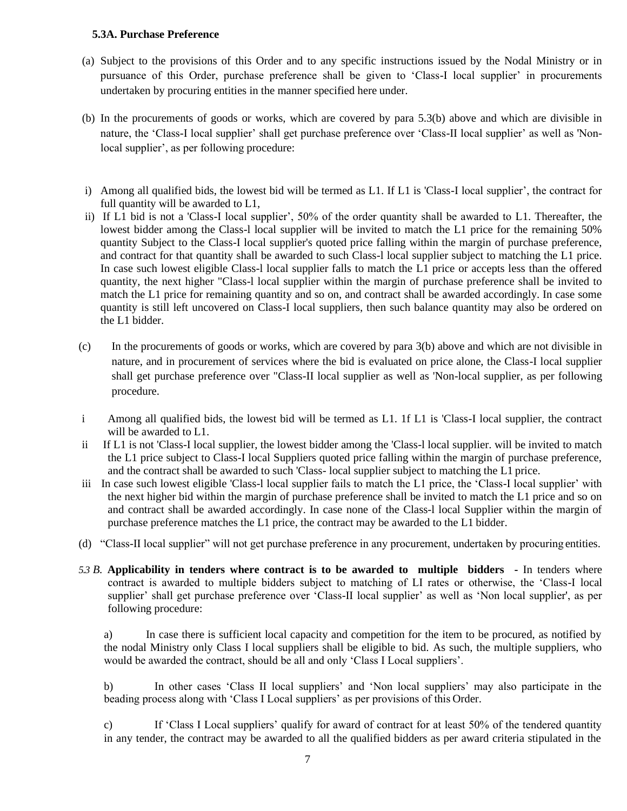## **5.3A. Purchase Preference**

- (a) Subject to the provisions of this Order and to any specific instructions issued by the Nodal Ministry or in pursuance of this Order, purchase preference shall be given to 'Class-I local supplier' in procurements undertaken by procuring entities in the manner specified here under.
- (b) In the procurements of goods or works, which are covered by para 5.3(b) above and which are divisible in nature, the 'Class-I local supplier' shall get purchase preference over 'Class-II local supplier' as well as 'Nonlocal supplier', as per following procedure:
- i) Among all qualified bids, the lowest bid will be termed as L1. If L1 is 'Class-I local supplier', the contract for full quantity will be awarded to L1,
- ii) If L1 bid is not a 'Class-I local supplier', 50% of the order quantity shall be awarded to L1. Thereafter, the lowest bidder among the Class-l local supplier will be invited to match the L1 price for the remaining 50% quantity Subject to the Class-I local supplier's quoted price falling within the margin of purchase preference, and contract for that quantity shall be awarded to such Class-l local supplier subject to matching the L1 price. In case such lowest eligible Class-l local supplier falls to match the L1 price or accepts less than the offered quantity, the next higher "Class-l local supplier within the margin of purchase preference shall be invited to match the L1 price for remaining quantity and so on, and contract shall be awarded accordingly. In case some quantity is still left uncovered on Class-I local suppliers, then such balance quantity may also be ordered on the L1 bidder.
- (c) In the procurements of goods or works, which are covered by para 3(b) above and which are not divisible in nature, and in procurement of services where the bid is evaluated on price alone, the Class-I local supplier shall get purchase preference over "Class-II local supplier as well as 'Non-local supplier, as per following procedure.
- i Among all qualified bids, the lowest bid will be termed as L1. 1f L1 is 'Class-I local supplier, the contract will be awarded to L1.
- ii If L1 is not 'Class-I local supplier, the lowest bidder among the 'Class-l local supplier. will be invited to match the L1 price subject to Class-I local Suppliers quoted price falling within the margin of purchase preference, and the contract shall be awarded to such 'Class- local supplier subject to matching the L1 price.
- iii In case such lowest eligible 'Class-l local supplier fails to match the L1 price, the 'Class-I local supplier' with the next higher bid within the margin of purchase preference shall be invited to match the L1 price and so on and contract shall be awarded accordingly. In case none of the Class-l local Supplier within the margin of purchase preference matches the L1 price, the contract may be awarded to the L1 bidder.
- (d) "Class-II local supplier" will not get purchase preference in any procurement, undertaken by procuring entities.
- *5.3 B.* **Applicability in tenders where contract is to be awarded to multiple bidders -** In tenders where contract is awarded to multiple bidders subject to matching of LI rates or otherwise, the 'Class-I local supplier' shall get purchase preference over 'Class-II local supplier' as well as 'Non local supplier', as per following procedure:

a) In case there is sufficient local capacity and competition for the item to be procured, as notified by the nodal Ministry only Class I local suppliers shall be eligible to bid. As such, the multiple suppliers, who would be awarded the contract, should be all and only 'Class I Local suppliers'.

b) In other cases 'Class II local suppliers' and 'Non local suppliers' may also participate in the beading process along with 'Class I Local suppliers' as per provisions of this Order.

c) If 'Class I Local suppliers' qualify for award of contract for at least 50% of the tendered quantity in any tender, the contract may be awarded to all the qualified bidders as per award criteria stipulated in the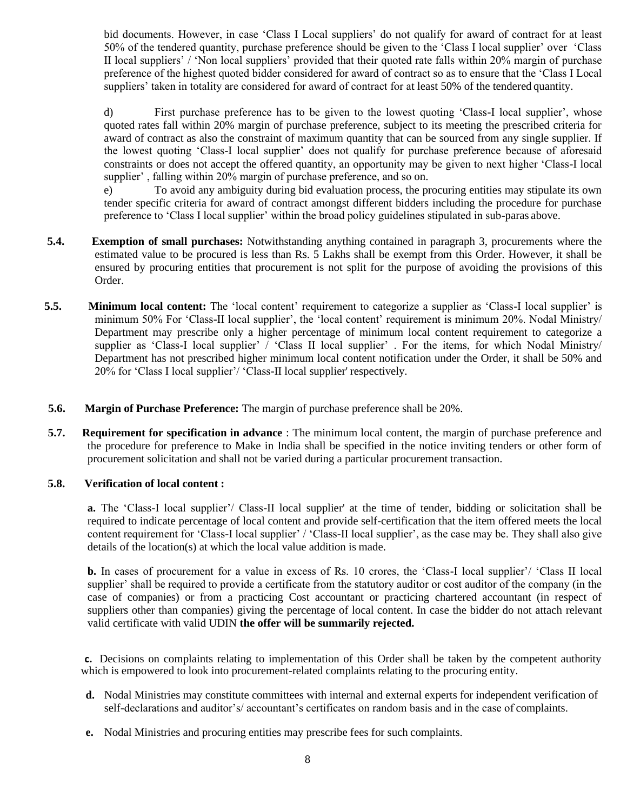bid documents. However, in case 'Class I Local suppliers' do not qualify for award of contract for at least 50% of the tendered quantity, purchase preference should be given to the 'Class I local supplier' over 'Class II local suppliers' / 'Non local suppliers' provided that their quoted rate falls within 20% margin of purchase preference of the highest quoted bidder considered for award of contract so as to ensure that the 'Class I Local suppliers' taken in totality are considered for award of contract for at least 50% of the tendered quantity.

d) First purchase preference has to be given to the lowest quoting 'Class-I local supplier', whose quoted rates fall within 20% margin of purchase preference, subject to its meeting the prescribed criteria for award of contract as also the constraint of maximum quantity that can be sourced from any single supplier. If the lowest quoting 'Class-I local supplier' does not qualify for purchase preference because of aforesaid constraints or does not accept the offered quantity, an opportunity may be given to next higher 'Class-I local supplier' , falling within 20% margin of purchase preference, and so on.

e) To avoid any ambiguity during bid evaluation process, the procuring entities may stipulate its own tender specific criteria for award of contract amongst different bidders including the procedure for purchase preference to 'Class I local supplier' within the broad policy guidelines stipulated in sub-paras above.

- **5.4. Exemption of small purchases:** Notwithstanding anything contained in paragraph 3, procurements where the estimated value to be procured is less than Rs. 5 Lakhs shall be exempt from this Order. However, it shall be ensured by procuring entities that procurement is not split for the purpose of avoiding the provisions of this Order.
- **5.5. Minimum local content:** The 'local content' requirement to categorize a supplier as 'Class-I local supplier' is minimum 50% For 'Class-II local supplier', the 'local content' requirement is minimum 20%. Nodal Ministry/ Department may prescribe only a higher percentage of minimum local content requirement to categorize a supplier as 'Class-I local supplier' / 'Class II local supplier' . For the items, for which Nodal Ministry/ Department has not prescribed higher minimum local content notification under the Order, it shall be 50% and 20% for 'Class I local supplier'/ 'Class-II local supplier' respectively.
- **5.6. Margin of Purchase Preference:** The margin of purchase preference shall be 20%.
- **5.7. Requirement for specification in advance** : The minimum local content, the margin of purchase preference and the procedure for preference to Make in India shall be specified in the notice inviting tenders or other form of procurement solicitation and shall not be varied during a particular procurement transaction.

### **5.8. Verification of local content :**

**a.** The 'Class-I local supplier'/ Class-II local supplier' at the time of tender, bidding or solicitation shall be required to indicate percentage of local content and provide self-certification that the item offered meets the local content requirement for 'Class-I local supplier' / 'Class-II local supplier', as the case may be. They shall also give details of the location(s) at which the local value addition is made.

**b.** In cases of procurement for a value in excess of Rs. 10 crores, the 'Class-I local supplier'/ 'Class II local supplier' shall be required to provide a certificate from the statutory auditor or cost auditor of the company (in the case of companies) or from a practicing Cost accountant or practicing chartered accountant (in respect of suppliers other than companies) giving the percentage of local content. In case the bidder do not attach relevant valid certificate with valid UDIN **the offer will be summarily rejected.**

**c.** Decisions on complaints relating to implementation of this Order shall be taken by the competent authority which is empowered to look into procurement-related complaints relating to the procuring entity.

- **d.** Nodal Ministries may constitute committees with internal and external experts for independent verification of self-declarations and auditor's/ accountant's certificates on random basis and in the case of complaints.
- **e.** Nodal Ministries and procuring entities may prescribe fees for such complaints.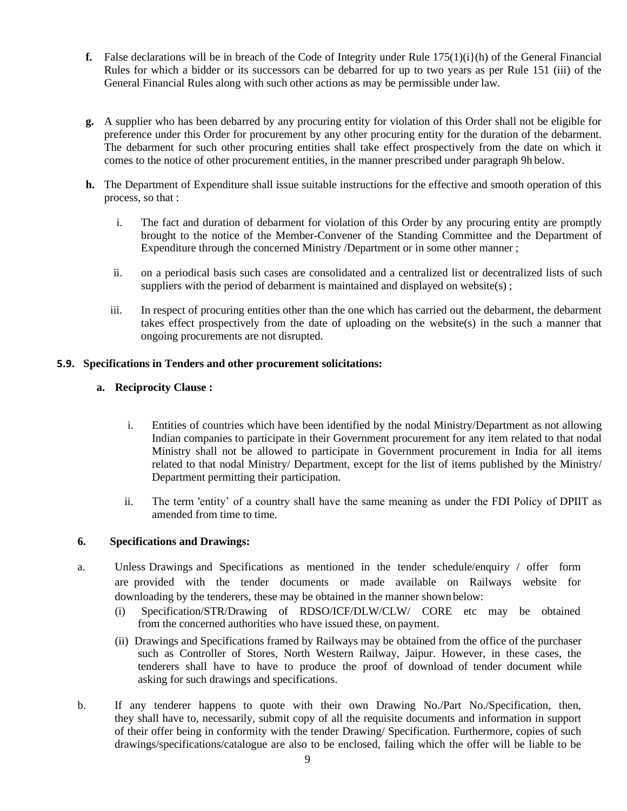- **f.** False declarations will be in breach of the Code of Integrity under Rule  $175(1)(i)$ (h) of the General Financial Rules for which a bidder or its successors can be debarred for up to two years as per Rule 151 (iii) of the General Financial Rules along with such other actions as may be permissible under law.
- **g.** A supplier who has been debarred by any procuring entity for violation of this Order shall not be eligible for preference under this Order for procurement by any other procuring entity for the duration of the debarment. The debarment for such other procuring entities shall take effect prospectively from the date on which it comes to the notice of other procurement entities, in the manner prescribed under paragraph 9h below.
- **h.** The Department of Expenditure shall issue suitable instructions for the effective and smooth operation of this process, so that :
	- i. The fact and duration of debarment for violation of this Order by any procuring entity are promptly brought to the notice of the Member-Convener of the Standing Committee and the Department of Expenditure through the concerned Ministry /Department or in some other manner ;
	- ii. on a periodical basis such cases are consolidated and a centralized list or decentralized lists of such suppliers with the period of debarment is maintained and displayed on website(s);
	- iii. In respect of procuring entities other than the one which has carried out the debarment, the debarment takes effect prospectively from the date of uploading on the website(s) in the such a manner that ongoing procurements are not disrupted.

# **5.9. Specifications in Tenders and other procurement solicitations:**

# **a. Reciprocity Clause :**

- i. Entities of countries which have been identified by the nodal Ministry/Department as not allowing Indian companies to participate in their Government procurement for any item related to that nodal Ministry shall not be allowed to participate in Government procurement in India for all items related to that nodal Ministry/ Department, except for the list of items published by the Ministry/ Department permitting their participation.
- ii. The term 'entity' of a country shall have the same meaning as under the FDI Policy of DPIIT as amended from time to time.

# **6. Specifications and Drawings:**

- a. Unless Drawings and Specifications as mentioned in the tender schedule/enquiry / offer form are provided with the tender documents or made available on Railways website for downloading by the tenderers, these may be obtained in the manner shown below:
	- (i) Specification/STR/Drawing of RDSO/ICF/DLW/CLW/ CORE etc may be obtained from the concerned authorities who have issued these, on payment.
	- (ii) Drawings and Specifications framed by Railways may be obtained from the office of the purchaser such as Controller of Stores, North Western Railway, Jaipur. However, in these cases, the tenderers shall have to have to produce the proof of download of tender document while asking for such drawings and specifications.
- b. If any tenderer happens to quote with their own Drawing No./Part No./Specification, then, they shall have to, necessarily, submit copy of all the requisite documents and information in support of their offer being in conformity with the tender Drawing/ Specification. Furthermore, copies of such drawings/specifications/catalogue are also to be enclosed, failing which the offer will be liable to be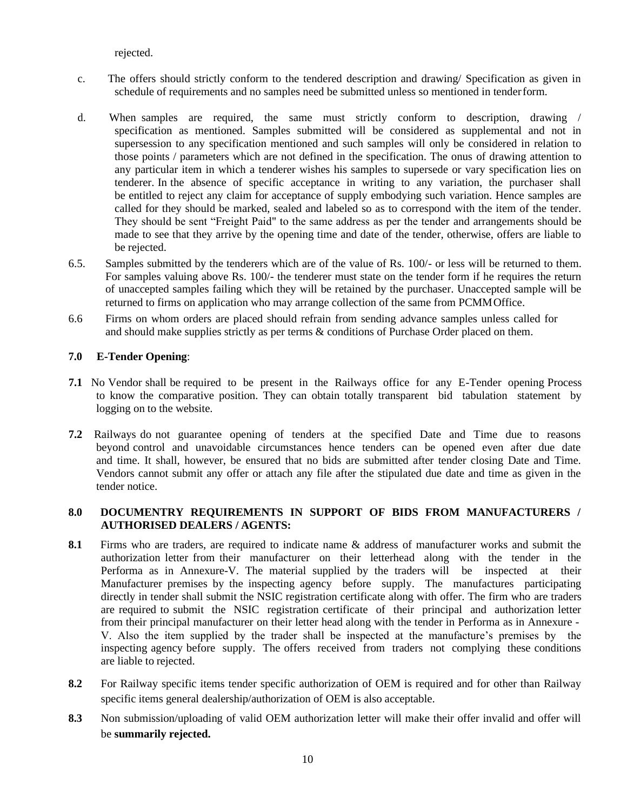rejected.

- c. The offers should strictly conform to the tendered description and drawing/ Specification as given in schedule of requirements and no samples need be submitted unless so mentioned in tenderform.
- d. When samples are required, the same must strictly conform to description, drawing / specification as mentioned. Samples submitted will be considered as supplemental and not in supersession to any specification mentioned and such samples will only be considered in relation to those points / parameters which are not defined in the specification. The onus of drawing attention to any particular item in which a tenderer wishes his samples to supersede or vary specification lies on tenderer. In the absence of specific acceptance in writing to any variation, the purchaser shall be entitled to reject any claim for acceptance of supply embodying such variation. Hence samples are called for they should be marked, sealed and labeled so as to correspond with the item of the tender. They should be sent "Freight Paid" to the same address as per the tender and arrangements should be made to see that they arrive by the opening time and date of the tender, otherwise, offers are liable to be rejected.
- 6.5. Samples submitted by the tenderers which are of the value of Rs. 100/- or less will be returned to them. For samples valuing above Rs. 100/- the tenderer must state on the tender form if he requires the return of unaccepted samples failing which they will be retained by the purchaser. Unaccepted sample will be returned to firms on application who may arrange collection of the same from PCMMOffice.
- 6.6 Firms on whom orders are placed should refrain from sending advance samples unless called for and should make supplies strictly as per terms & conditions of Purchase Order placed on them.

### **7.0 E-Tender Opening**:

- **7.1** No Vendor shall be required to be present in the Railways office for any E-Tender opening Process to know the comparative position. They can obtain totally transparent bid tabulation statement by logging on to the website.
- **7.2** Railways do not guarantee opening of tenders at the specified Date and Time due to reasons beyond control and unavoidable circumstances hence tenders can be opened even after due date and time. It shall, however, be ensured that no bids are submitted after tender closing Date and Time. Vendors cannot submit any offer or attach any file after the stipulated due date and time as given in the tender notice.

# **8.0 DOCUMENTRY REQUIREMENTS IN SUPPORT OF BIDS FROM MANUFACTURERS / AUTHORISED DEALERS / AGENTS:**

- **8.1** Firms who are traders, are required to indicate name & address of manufacturer works and submit the authorization letter from their manufacturer on their letterhead along with the tender in the Performa as in Annexure-V. The material supplied by the traders will be inspected at their Manufacturer premises by the inspecting agency before supply. The manufactures participating directly in tender shall submit the NSIC registration certificate along with offer. The firm who are traders are required to submit the NSIC registration certificate of their principal and authorization letter from their principal manufacturer on their letter head along with the tender in Performa as in Annexure - V. Also the item supplied by the trader shall be inspected at the manufacture's premises by the inspecting agency before supply. The offers received from traders not complying these conditions are liable to rejected.
- **8.2** For Railway specific items tender specific authorization of OEM is required and for other than Railway specific items general dealership/authorization of OEM is also acceptable.
- **8.3** Non submission/uploading of valid OEM authorization letter will make their offer invalid and offer will be **summarily rejected.**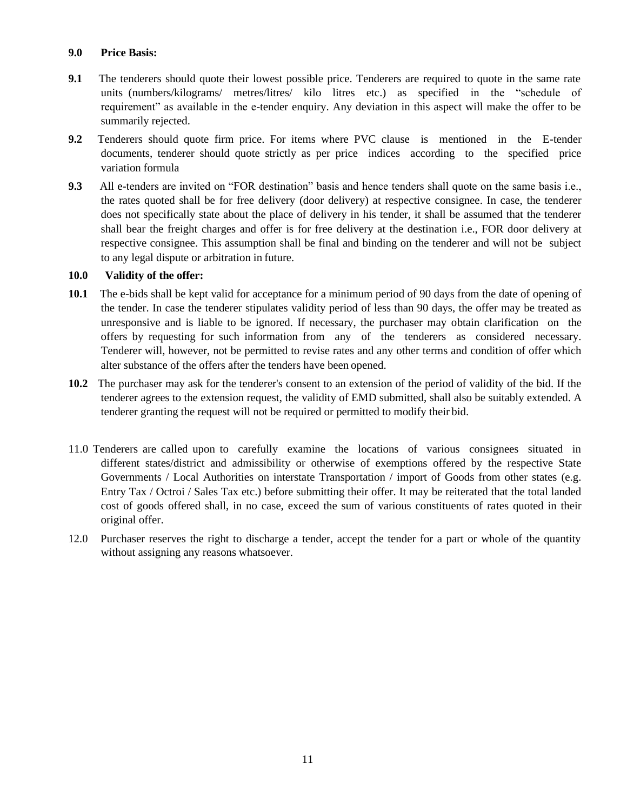## **9.0 Price Basis:**

- **9.1** The tenderers should quote their lowest possible price. Tenderers are required to quote in the same rate units (numbers/kilograms/ metres/litres/ kilo litres etc.) as specified in the "schedule of requirement" as available in the e-tender enquiry. Any deviation in this aspect will make the offer to be summarily rejected.
- **9.2** Tenderers should quote firm price. For items where PVC clause is mentioned in the E-tender documents, tenderer should quote strictly as per price indices according to the specified price variation formula
- **9.3** All e-tenders are invited on "FOR destination" basis and hence tenders shall quote on the same basis i.e., the rates quoted shall be for free delivery (door delivery) at respective consignee. In case, the tenderer does not specifically state about the place of delivery in his tender, it shall be assumed that the tenderer shall bear the freight charges and offer is for free delivery at the destination i.e., FOR door delivery at respective consignee. This assumption shall be final and binding on the tenderer and will not be subject to any legal dispute or arbitration in future.

# **10.0 Validity of the offer:**

- **10.1** The e-bids shall be kept valid for acceptance for a minimum period of 90 days from the date of opening of the tender. In case the tenderer stipulates validity period of less than 90 days, the offer may be treated as unresponsive and is liable to be ignored. If necessary, the purchaser may obtain clarification on the offers by requesting for such information from any of the tenderers as considered necessary. Tenderer will, however, not be permitted to revise rates and any other terms and condition of offer which alter substance of the offers after the tenders have been opened.
- **10.2** The purchaser may ask for the tenderer's consent to an extension of the period of validity of the bid. If the tenderer agrees to the extension request, the validity of EMD submitted, shall also be suitably extended. A tenderer granting the request will not be required or permitted to modify their bid.
- 11.0 Tenderers are called upon to carefully examine the locations of various consignees situated in different states/district and admissibility or otherwise of exemptions offered by the respective State Governments / Local Authorities on interstate Transportation / import of Goods from other states (e.g. Entry Tax / Octroi / Sales Tax etc.) before submitting their offer. It may be reiterated that the total landed cost of goods offered shall, in no case, exceed the sum of various constituents of rates quoted in their original offer.
- 12.0 Purchaser reserves the right to discharge a tender, accept the tender for a part or whole of the quantity without assigning any reasons whatsoever.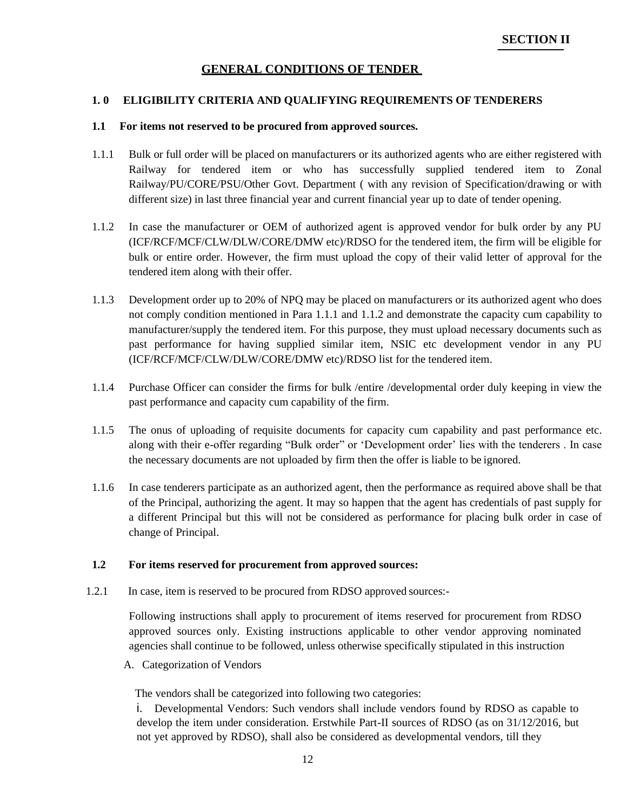# **GENERAL CONDITIONS OF TENDER**

#### **1. 0 ELIGIBILITY CRITERIA AND QUALIFYING REQUIREMENTS OF TENDERERS**

#### **1.1 For items not reserved to be procured from approved sources.**

- 1.1.1 Bulk or full order will be placed on manufacturers or its authorized agents who are either registered with Railway for tendered item or who has successfully supplied tendered item to Zonal Railway/PU/CORE/PSU/Other Govt. Department ( with any revision of Specification/drawing or with different size) in last three financial year and current financial year up to date of tender opening.
- 1.1.2 In case the manufacturer or OEM of authorized agent is approved vendor for bulk order by any PU (ICF/RCF/MCF/CLW/DLW/CORE/DMW etc)/RDSO for the tendered item, the firm will be eligible for bulk or entire order. However, the firm must upload the copy of their valid letter of approval for the tendered item along with their offer.
- 1.1.3 Development order up to 20% of NPQ may be placed on manufacturers or its authorized agent who does not comply condition mentioned in Para 1.1.1 and 1.1.2 and demonstrate the capacity cum capability to manufacturer/supply the tendered item. For this purpose, they must upload necessary documents such as past performance for having supplied similar item, NSIC etc development vendor in any PU (ICF/RCF/MCF/CLW/DLW/CORE/DMW etc)/RDSO list for the tendered item.
- 1.1.4 Purchase Officer can consider the firms for bulk /entire /developmental order duly keeping in view the past performance and capacity cum capability of the firm.
- 1.1.5 The onus of uploading of requisite documents for capacity cum capability and past performance etc. along with their e-offer regarding "Bulk order" or 'Development order' lies with the tenderers . In case the necessary documents are not uploaded by firm then the offer is liable to be ignored.
- 1.1.6 In case tenderers participate as an authorized agent, then the performance as required above shall be that of the Principal, authorizing the agent. It may so happen that the agent has credentials of past supply for a different Principal but this will not be considered as performance for placing bulk order in case of change of Principal.

#### **1.2 For items reserved for procurement from approved sources:**

1.2.1 In case, item is reserved to be procured from RDSO approved sources:-

Following instructions shall apply to procurement of items reserved for procurement from RDSO approved sources only. Existing instructions applicable to other vendor approving nominated agencies shall continue to be followed, unless otherwise specifically stipulated in this instruction

A. Categorization of Vendors

The vendors shall be categorized into following two categories:

i. Developmental Vendors: Such vendors shall include vendors found by RDSO as capable to develop the item under consideration. Erstwhile Part-II sources of RDSO (as on 31/12/2016, but not yet approved by RDSO), shall also be considered as developmental vendors, till they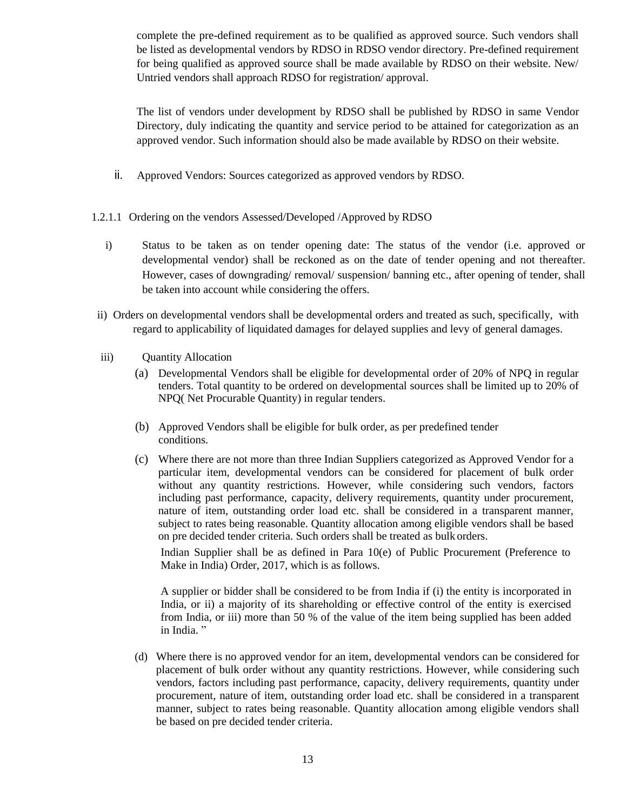complete the pre-defined requirement as to be qualified as approved source. Such vendors shall be listed as developmental vendors by RDSO in RDSO vendor directory. Pre-defined requirement for being qualified as approved source shall be made available by RDSO on their website. New/ Untried vendors shall approach RDSO for registration/ approval.

The list of vendors under development by RDSO shall be published by RDSO in same Vendor Directory, duly indicating the quantity and service period to be attained for categorization as an approved vendor. Such information should also be made available by RDSO on their website.

- ii. Approved Vendors: Sources categorized as approved vendors by RDSO.
- 1.2.1.1 Ordering on the vendors Assessed/Developed /Approved by RDSO
	- i) Status to be taken as on tender opening date: The status of the vendor (i.e. approved or developmental vendor) shall be reckoned as on the date of tender opening and not thereafter. However, cases of downgrading/ removal/ suspension/ banning etc., after opening of tender, shall be taken into account while considering the offers.
- ii) Orders on developmental vendors shall be developmental orders and treated as such, specifically, with regard to applicability of liquidated damages for delayed supplies and levy of general damages.
- iii) Quantity Allocation
	- (a) Developmental Vendors shall be eligible for developmental order of 20% of NPQ in regular tenders. Total quantity to be ordered on developmental sources shall be limited up to 20% of NPQ( Net Procurable Quantity) in regular tenders.
	- (b) Approved Vendors shall be eligible for bulk order, as per predefined tender conditions.
	- (c) Where there are not more than three Indian Suppliers categorized as Approved Vendor for a particular item, developmental vendors can be considered for placement of bulk order without any quantity restrictions. However, while considering such vendors, factors including past performance, capacity, delivery requirements, quantity under procurement, nature of item, outstanding order load etc. shall be considered in a transparent manner, subject to rates being reasonable. Quantity allocation among eligible vendors shall be based on pre decided tender criteria. Such orders shall be treated as bulk orders.

Indian Supplier shall be as defined in Para 10(e) of Public Procurement (Preference to Make in India) Order, 2017, which is as follows.

A supplier or bidder shall be considered to be from India if (i) the entity is incorporated in India, or ii) a majority of its shareholding or effective control of the entity is exercised from India, or iii) more than 50 % of the value of the item being supplied has been added in India."

(d) Where there is no approved vendor for an item, developmental vendors can be considered for placement of bulk order without any quantity restrictions. However, while considering such vendors, factors including past performance, capacity, delivery requirements, quantity under procurement, nature of item, outstanding order load etc. shall be considered in a transparent manner, subject to rates being reasonable. Quantity allocation among eligible vendors shall be based on pre decided tender criteria.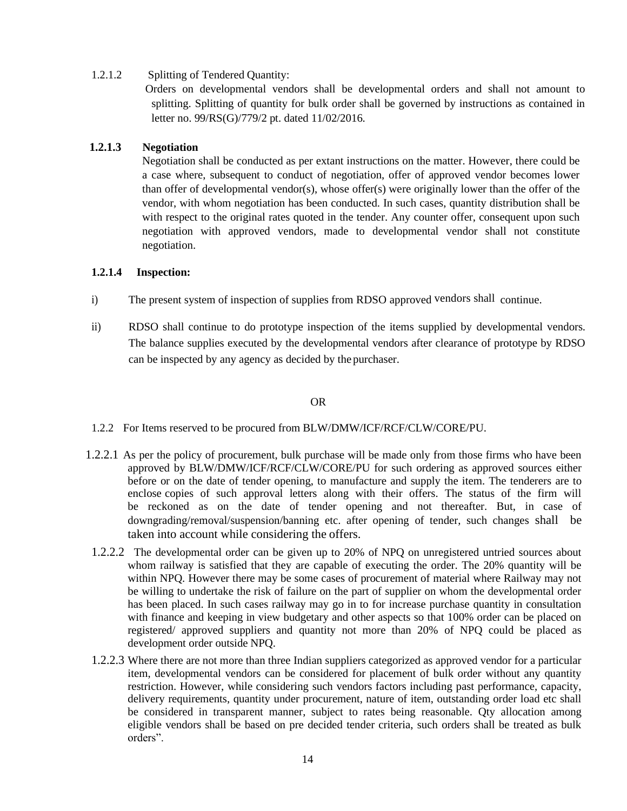### 1.2.1.2 Splitting of Tendered Quantity:

Orders on developmental vendors shall be developmental orders and shall not amount to splitting. Splitting of quantity for bulk order shall be governed by instructions as contained in letter no. 99/RS(G)/779/2 pt. dated 11/02/2016.

### **1.2.1.3 Negotiation**

Negotiation shall be conducted as per extant instructions on the matter. However, there could be a case where, subsequent to conduct of negotiation, offer of approved vendor becomes lower than offer of developmental vendor(s), whose offer(s) were originally lower than the offer of the vendor, with whom negotiation has been conducted. In such cases, quantity distribution shall be with respect to the original rates quoted in the tender. Any counter offer, consequent upon such negotiation with approved vendors, made to developmental vendor shall not constitute negotiation.

### **1.2.1.4 Inspection:**

- i) The present system of inspection of supplies from RDSO approved vendors shall continue.
- ii) RDSO shall continue to do prototype inspection of the items supplied by developmental vendors. The balance supplies executed by the developmental vendors after clearance of prototype by RDSO can be inspected by any agency as decided by the purchaser.

## OR

- 1.2.2 For Items reserved to be procured from BLW/DMW/ICF/RCF/CLW/CORE/PU.
- 1.2.2.1 As per the policy of procurement, bulk purchase will be made only from those firms who have been approved by BLW/DMW/ICF/RCF/CLW/CORE/PU for such ordering as approved sources either before or on the date of tender opening, to manufacture and supply the item. The tenderers are to enclose copies of such approval letters along with their offers. The status of the firm will be reckoned as on the date of tender opening and not thereafter. But, in case of downgrading/removal/suspension/banning etc. after opening of tender, such changes shall be taken into account while considering the offers.
	- 1.2.2.2 The developmental order can be given up to 20% of NPQ on unregistered untried sources about whom railway is satisfied that they are capable of executing the order. The 20% quantity will be within NPQ. However there may be some cases of procurement of material where Railway may not be willing to undertake the risk of failure on the part of supplier on whom the developmental order has been placed. In such cases railway may go in to for increase purchase quantity in consultation with finance and keeping in view budgetary and other aspects so that 100% order can be placed on registered/ approved suppliers and quantity not more than 20% of NPQ could be placed as development order outside NPQ.
	- 1.2.2.3 Where there are not more than three Indian suppliers categorized as approved vendor for a particular item, developmental vendors can be considered for placement of bulk order without any quantity restriction. However, while considering such vendors factors including past performance, capacity, delivery requirements, quantity under procurement, nature of item, outstanding order load etc shall be considered in transparent manner, subject to rates being reasonable. Qty allocation among eligible vendors shall be based on pre decided tender criteria, such orders shall be treated as bulk orders".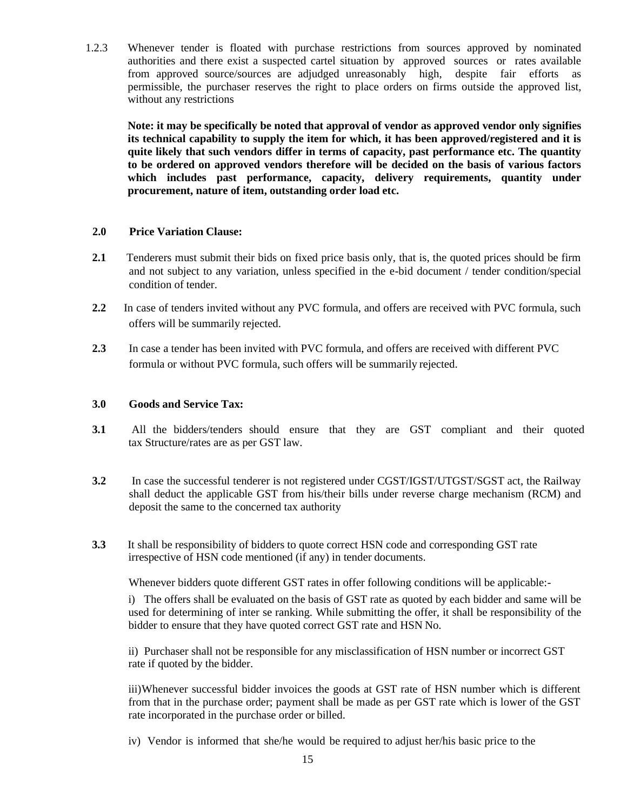1.2.3 Whenever tender is floated with purchase restrictions from sources approved by nominated authorities and there exist a suspected cartel situation by approved sources or rates available from approved source/sources are adjudged unreasonably high, despite fair efforts as permissible, the purchaser reserves the right to place orders on firms outside the approved list, without any restrictions

**Note: it may be specifically be noted that approval of vendor as approved vendor only signifies its technical capability to supply the item for which, it has been approved/registered and it is quite likely that such vendors differ in terms of capacity, past performance etc. The quantity to be ordered on approved vendors therefore will be decided on the basis of various factors which includes past performance, capacity, delivery requirements, quantity under procurement, nature of item, outstanding order load etc.**

### **2.0 Price Variation Clause:**

- **2.1** Tenderers must submit their bids on fixed price basis only, that is, the quoted prices should be firm and not subject to any variation, unless specified in the e-bid document / tender condition/special condition of tender.
- **2.2** In case of tenders invited without any PVC formula, and offers are received with PVC formula, such offers will be summarily rejected.
- **2.3** In case a tender has been invited with PVC formula, and offers are received with different PVC formula or without PVC formula, such offers will be summarily rejected.

#### **3.0 Goods and Service Tax:**

- **3.1** All the bidders/tenders should ensure that they are GST compliant and their quoted tax Structure/rates are as per GST law.
- **3.2** In case the successful tenderer is not registered under CGST/IGST/UTGST/SGST act, the Railway shall deduct the applicable GST from his/their bills under reverse charge mechanism (RCM) and deposit the same to the concerned tax authority
- **3.3** It shall be responsibility of bidders to quote correct HSN code and corresponding GST rate irrespective of HSN code mentioned (if any) in tender documents.

Whenever bidders quote different GST rates in offer following conditions will be applicable:-

i) The offers shall be evaluated on the basis of GST rate as quoted by each bidder and same will be used for determining of inter se ranking. While submitting the offer, it shall be responsibility of the bidder to ensure that they have quoted correct GST rate and HSN No.

ii) Purchaser shall not be responsible for any misclassification of HSN number or incorrect GST rate if quoted by the bidder.

iii)Whenever successful bidder invoices the goods at GST rate of HSN number which is different from that in the purchase order; payment shall be made as per GST rate which is lower of the GST rate incorporated in the purchase order or billed.

iv) Vendor is informed that she/he would be required to adjust her/his basic price to the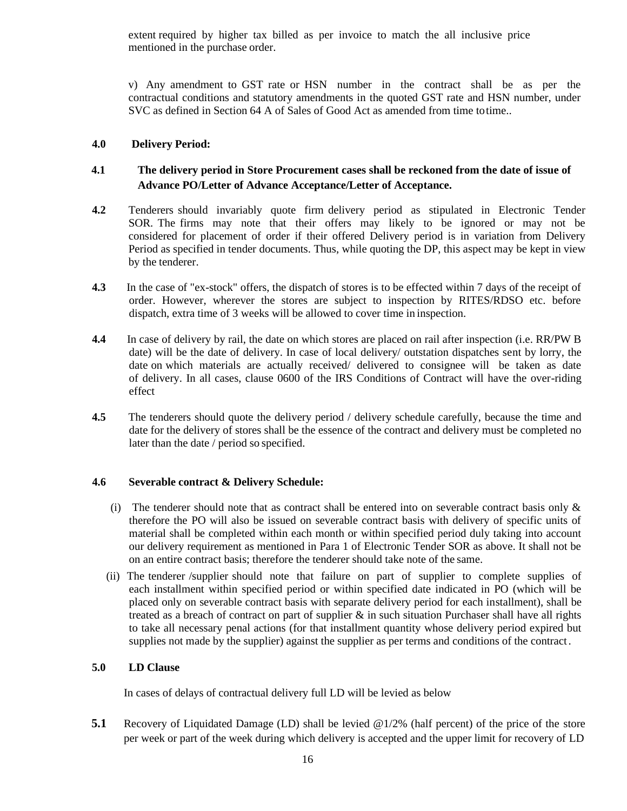extent required by higher tax billed as per invoice to match the all inclusive price mentioned in the purchase order.

v) Any amendment to GST rate or HSN number in the contract shall be as per the contractual conditions and statutory amendments in the quoted GST rate and HSN number, under SVC as defined in Section 64 A of Sales of Good Act as amended from time totime..

### **4.0 Delivery Period:**

# **4.1 The delivery period in Store Procurement cases shall be reckoned from the date of issue of Advance PO/Letter of Advance Acceptance/Letter of Acceptance.**

- **4.2** Tenderers should invariably quote firm delivery period as stipulated in Electronic Tender SOR. The firms may note that their offers may likely to be ignored or may not be considered for placement of order if their offered Delivery period is in variation from Delivery Period as specified in tender documents. Thus, while quoting the DP, this aspect may be kept in view by the tenderer.
- **4.3** In the case of "ex-stock" offers, the dispatch of stores is to be effected within 7 days of the receipt of order. However, wherever the stores are subject to inspection by RITES/RDSO etc. before dispatch, extra time of 3 weeks will be allowed to cover time in inspection.
- **4.4** In case of delivery by rail, the date on which stores are placed on rail after inspection (i.e. RR/PW B date) will be the date of delivery. In case of local delivery/ outstation dispatches sent by lorry, the date on which materials are actually received/ delivered to consignee will be taken as date of delivery. In all cases, clause 0600 of the IRS Conditions of Contract will have the over-riding effect
- **4.5** The tenderers should quote the delivery period / delivery schedule carefully, because the time and date for the delivery of stores shall be the essence of the contract and delivery must be completed no later than the date / period so specified.

### **4.6 Severable contract & Delivery Schedule:**

- (i) The tenderer should note that as contract shall be entered into on severable contract basis only  $\&$ therefore the PO will also be issued on severable contract basis with delivery of specific units of material shall be completed within each month or within specified period duly taking into account our delivery requirement as mentioned in Para 1 of Electronic Tender SOR as above. It shall not be on an entire contract basis; therefore the tenderer should take note of the same.
- (ii) The tenderer /supplier should note that failure on part of supplier to complete supplies of each installment within specified period or within specified date indicated in PO (which will be placed only on severable contract basis with separate delivery period for each installment), shall be treated as a breach of contract on part of supplier & in such situation Purchaser shall have all rights to take all necessary penal actions (for that installment quantity whose delivery period expired but supplies not made by the supplier) against the supplier as per terms and conditions of the contract.

## **5.0 LD Clause**

In cases of delays of contractual delivery full LD will be levied as below

**5.1** Recovery of Liquidated Damage (LD) shall be levied @1/2% (half percent) of the price of the store per week or part of the week during which delivery is accepted and the upper limit for recovery of LD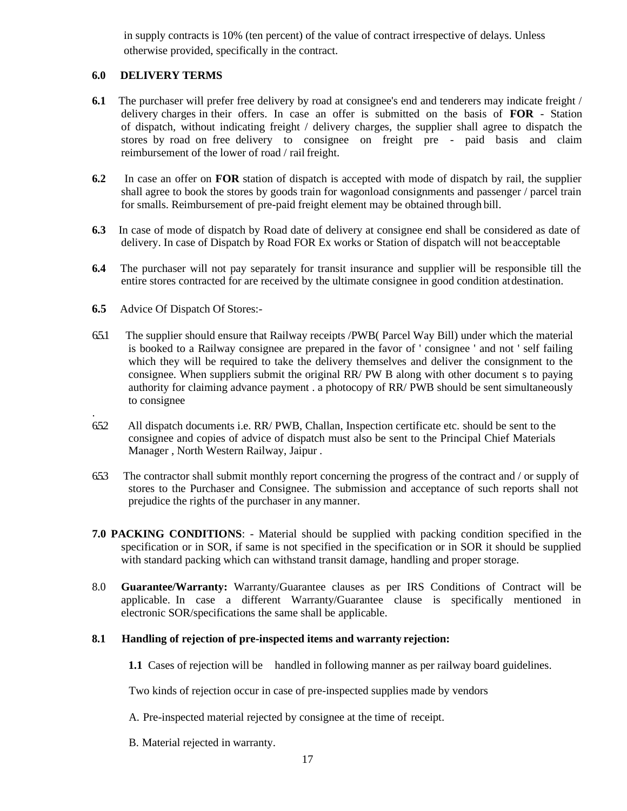in supply contracts is 10% (ten percent) of the value of contract irrespective of delays. Unless otherwise provided, specifically in the contract.

### **6.0 DELIVERY TERMS**

- **6.1** The purchaser will prefer free delivery by road at consignee's end and tenderers may indicate freight / delivery charges in their offers. In case an offer is submitted on the basis of **FOR** - Station of dispatch, without indicating freight / delivery charges, the supplier shall agree to dispatch the stores by road on free delivery to consignee on freight pre - paid basis and claim reimbursement of the lower of road / rail freight.
- **6.2** In case an offer on **FOR** station of dispatch is accepted with mode of dispatch by rail, the supplier shall agree to book the stores by goods train for wagonload consignments and passenger / parcel train for smalls. Reimbursement of pre-paid freight element may be obtained through bill.
- **6.3** In case of mode of dispatch by Road date of delivery at consignee end shall be considered as date of delivery. In case of Dispatch by Road FOR Ex works or Station of dispatch will not beacceptable
- **6.4** The purchaser will not pay separately for transit insurance and supplier will be responsible till the entire stores contracted for are received by the ultimate consignee in good condition atdestination.
- **6.5** Advice Of Dispatch Of Stores:-

.

- 6.5.1 The supplier should ensure that Railway receipts /PWB( Parcel Way Bill) under which the material is booked to a Railway consignee are prepared in the favor of ' consignee ' and not ' self failing which they will be required to take the delivery themselves and deliver the consignment to the consignee. When suppliers submit the original RR/ PW B along with other document s to paying authority for claiming advance payment . a photocopy of RR/ PWB should be sent simultaneously to consignee
- 6.5.2 All dispatch documents i.e. RR/ PWB, Challan, Inspection certificate etc. should be sent to the consignee and copies of advice of dispatch must also be sent to the Principal Chief Materials Manager , North Western Railway, Jaipur .
- 6.5.3 The contractor shall submit monthly report concerning the progress of the contract and / or supply of stores to the Purchaser and Consignee. The submission and acceptance of such reports shall not prejudice the rights of the purchaser in any manner.
- **7.0 PACKING CONDITIONS**: Material should be supplied with packing condition specified in the specification or in SOR, if same is not specified in the specification or in SOR it should be supplied with standard packing which can withstand transit damage, handling and proper storage.
- 8.0 **Guarantee/Warranty:** Warranty/Guarantee clauses as per IRS Conditions of Contract will be applicable. In case a different Warranty/Guarantee clause is specifically mentioned in electronic SOR/specifications the same shall be applicable.

### **8.1 Handling of rejection of pre-inspected items and warranty rejection:**

**1.1** Cases of rejection will be handled in following manner as per railway board guidelines.

Two kinds of rejection occur in case of pre-inspected supplies made by vendors

- A. Pre-inspected material rejected by consignee at the time of receipt.
- B. Material rejected in warranty.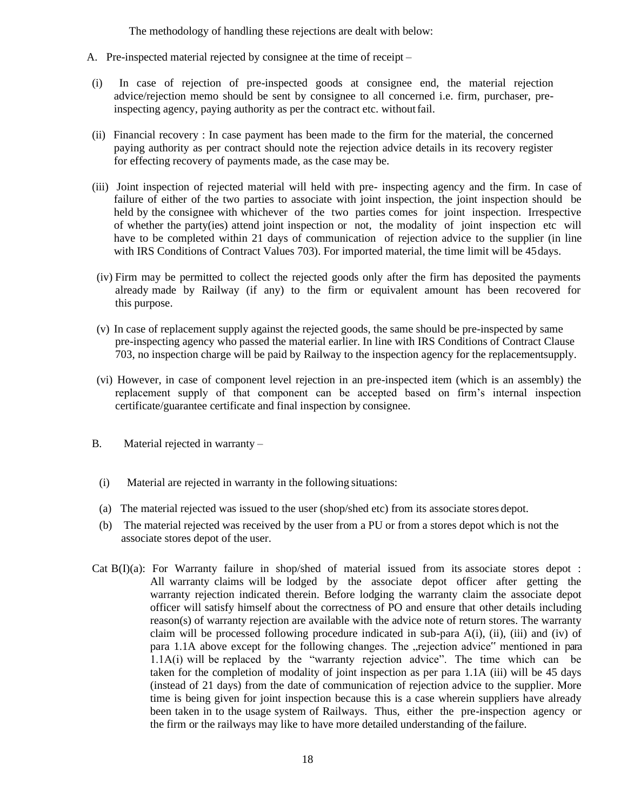The methodology of handling these rejections are dealt with below:

- A. Pre-inspected material rejected by consignee at the time of receipt –
- (i) In case of rejection of pre-inspected goods at consignee end, the material rejection advice/rejection memo should be sent by consignee to all concerned i.e. firm, purchaser, preinspecting agency, paying authority as per the contract etc. without fail.
- (ii) Financial recovery : In case payment has been made to the firm for the material, the concerned paying authority as per contract should note the rejection advice details in its recovery register for effecting recovery of payments made, as the case may be.
- (iii) Joint inspection of rejected material will held with pre- inspecting agency and the firm. In case of failure of either of the two parties to associate with joint inspection, the joint inspection should be held by the consignee with whichever of the two parties comes for joint inspection. Irrespective of whether the party(ies) attend joint inspection or not, the modality of joint inspection etc will have to be completed within 21 days of communication of rejection advice to the supplier (in line with IRS Conditions of Contract Values 703). For imported material, the time limit will be 45days.
- (iv) Firm may be permitted to collect the rejected goods only after the firm has deposited the payments already made by Railway (if any) to the firm or equivalent amount has been recovered for this purpose.
- (v) In case of replacement supply against the rejected goods, the same should be pre-inspected by same pre-inspecting agency who passed the material earlier. In line with IRS Conditions of Contract Clause 703, no inspection charge will be paid by Railway to the inspection agency for the replacementsupply.
- (vi) However, in case of component level rejection in an pre-inspected item (which is an assembly) the replacement supply of that component can be accepted based on firm's internal inspection certificate/guarantee certificate and final inspection by consignee.
- B. Material rejected in warranty
	- (i) Material are rejected in warranty in the following situations:
	- (a) The material rejected was issued to the user (shop/shed etc) from its associate stores depot.
	- (b) The material rejected was received by the user from a PU or from a stores depot which is not the associate stores depot of the user.
- Cat B(I)(a): For Warranty failure in shop/shed of material issued from its associate stores depot : All warranty claims will be lodged by the associate depot officer after getting the warranty rejection indicated therein. Before lodging the warranty claim the associate depot officer will satisfy himself about the correctness of PO and ensure that other details including reason(s) of warranty rejection are available with the advice note of return stores. The warranty claim will be processed following procedure indicated in sub-para  $A(i)$ , (ii), (iii) and (iv) of para 1.1A above except for the following changes. The "rejection advice" mentioned in para 1.1A(i) will be replaced by the "warranty rejection advice". The time which can be taken for the completion of modality of joint inspection as per para 1.1A (iii) will be 45 days (instead of 21 days) from the date of communication of rejection advice to the supplier. More time is being given for joint inspection because this is a case wherein suppliers have already been taken in to the usage system of Railways. Thus, either the pre-inspection agency or the firm or the railways may like to have more detailed understanding of the failure.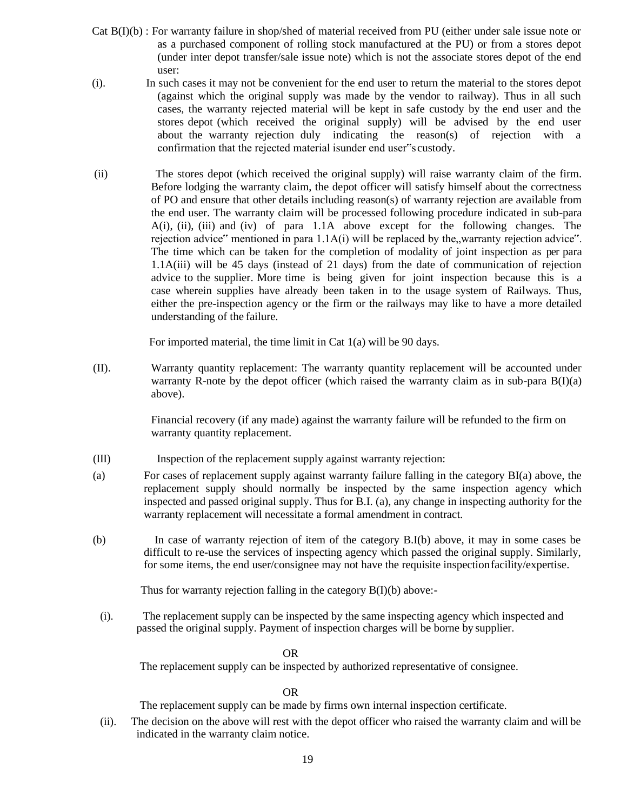- Cat B(I)(b) : For warranty failure in shop/shed of material received from PU (either under sale issue note or as a purchased component of rolling stock manufactured at the PU) or from a stores depot (under inter depot transfer/sale issue note) which is not the associate stores depot of the end user:
- (i). In such cases it may not be convenient for the end user to return the material to the stores depot (against which the original supply was made by the vendor to railway). Thus in all such cases, the warranty rejected material will be kept in safe custody by the end user and the stores depot (which received the original supply) will be advised by the end user about the warranty rejection duly indicating the reason(s) of rejection with a confirmation that the rejected material isunder end user"s custody.
- (ii) The stores depot (which received the original supply) will raise warranty claim of the firm. Before lodging the warranty claim, the depot officer will satisfy himself about the correctness of PO and ensure that other details including reason(s) of warranty rejection are available from the end user. The warranty claim will be processed following procedure indicated in sub-para A(i), (ii), (iii) and (iv) of para 1.1A above except for the following changes. The rejection advice" mentioned in para  $1.1A(i)$  will be replaced by the, warranty rejection advice". The time which can be taken for the completion of modality of joint inspection as per para 1.1A(iii) will be 45 days (instead of 21 days) from the date of communication of rejection advice to the supplier. More time is being given for joint inspection because this is a case wherein supplies have already been taken in to the usage system of Railways. Thus, either the pre-inspection agency or the firm or the railways may like to have a more detailed understanding of the failure.

For imported material, the time limit in Cat 1(a) will be 90 days.

(II). Warranty quantity replacement: The warranty quantity replacement will be accounted under warranty R-note by the depot officer (which raised the warranty claim as in sub-para  $B(I)(a)$ ) above).

> Financial recovery (if any made) against the warranty failure will be refunded to the firm on warranty quantity replacement.

- (III) Inspection of the replacement supply against warranty rejection:
- (a) For cases of replacement supply against warranty failure falling in the category BI(a) above, the replacement supply should normally be inspected by the same inspection agency which inspected and passed original supply. Thus for B.I. (a), any change in inspecting authority for the warranty replacement will necessitate a formal amendment in contract.
- (b) In case of warranty rejection of item of the category B.I(b) above, it may in some cases be difficult to re-use the services of inspecting agency which passed the original supply. Similarly, for some items, the end user/consignee may not have the requisite inspectionfacility/expertise.

Thus for warranty rejection falling in the category B(I)(b) above:-

(i). The replacement supply can be inspected by the same inspecting agency which inspected and passed the original supply. Payment of inspection charges will be borne by supplier.

OR

The replacement supply can be inspected by authorized representative of consignee.

OR

The replacement supply can be made by firms own internal inspection certificate.

(ii). The decision on the above will rest with the depot officer who raised the warranty claim and will be indicated in the warranty claim notice.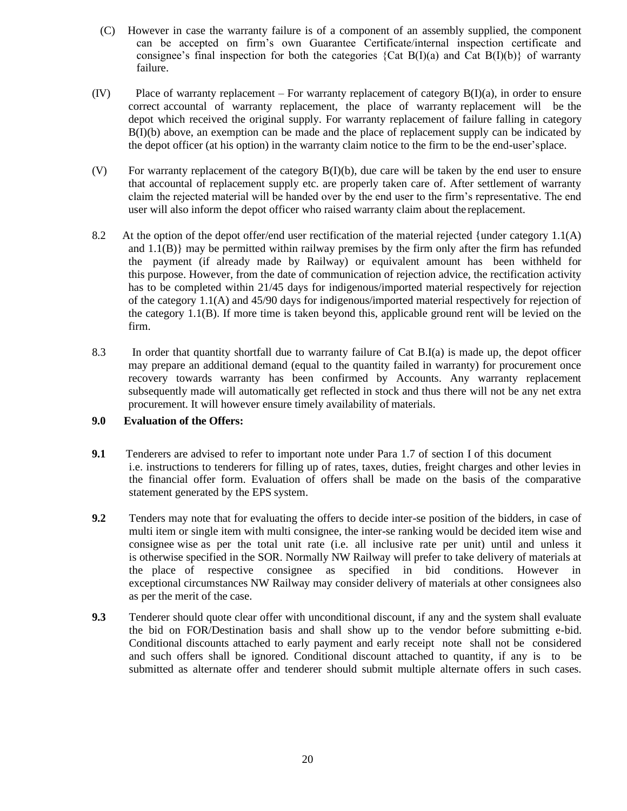- (C) However in case the warranty failure is of a component of an assembly supplied, the component can be accepted on firm's own Guarantee Certificate/internal inspection certificate and consignee's final inspection for both the categories  $\{Cat B(I)(a) \text{ and Cat } B(I)(b)\}$  of warranty failure.
- (IV) Place of warranty replacement For warranty replacement of category B(I)(a), in order to ensure correct accountal of warranty replacement, the place of warranty replacement will be the depot which received the original supply. For warranty replacement of failure falling in category B(I)(b) above, an exemption can be made and the place of replacement supply can be indicated by the depot officer (at his option) in the warranty claim notice to the firm to be the end-user'splace.
- (V) For warranty replacement of the category B(I)(b), due care will be taken by the end user to ensure that accountal of replacement supply etc. are properly taken care of. After settlement of warranty claim the rejected material will be handed over by the end user to the firm's representative. The end user will also inform the depot officer who raised warranty claim about the replacement.
- 8.2 At the option of the depot offer/end user rectification of the material rejected {under category 1.1(A) and  $1.1(B)$ } may be permitted within railway premises by the firm only after the firm has refunded the payment (if already made by Railway) or equivalent amount has been withheld for this purpose. However, from the date of communication of rejection advice, the rectification activity has to be completed within 21/45 days for indigenous/imported material respectively for rejection of the category 1.1(A) and 45/90 days for indigenous/imported material respectively for rejection of the category 1.1(B). If more time is taken beyond this, applicable ground rent will be levied on the firm.
- 8.3 In order that quantity shortfall due to warranty failure of Cat B.I(a) is made up, the depot officer may prepare an additional demand (equal to the quantity failed in warranty) for procurement once recovery towards warranty has been confirmed by Accounts. Any warranty replacement subsequently made will automatically get reflected in stock and thus there will not be any net extra procurement. It will however ensure timely availability of materials.

# **9.0 Evaluation of the Offers:**

- **9.1** Tenderers are advised to refer to important note under Para 1.7 of section I of this document i.e. instructions to tenderers for filling up of rates, taxes, duties, freight charges and other levies in the financial offer form. Evaluation of offers shall be made on the basis of the comparative statement generated by the EPS system.
- **9.2** Tenders may note that for evaluating the offers to decide inter-se position of the bidders, in case of multi item or single item with multi consignee, the inter-se ranking would be decided item wise and consignee wise as per the total unit rate (i.e. all inclusive rate per unit) until and unless it is otherwise specified in the SOR. Normally NW Railway will prefer to take delivery of materials at the place of respective consignee as specified in bid conditions. However in exceptional circumstances NW Railway may consider delivery of materials at other consignees also as per the merit of the case.
- **9.3** Tenderer should quote clear offer with unconditional discount, if any and the system shall evaluate the bid on FOR/Destination basis and shall show up to the vendor before submitting e-bid. Conditional discounts attached to early payment and early receipt note shall not be considered and such offers shall be ignored. Conditional discount attached to quantity, if any is to be submitted as alternate offer and tenderer should submit multiple alternate offers in such cases.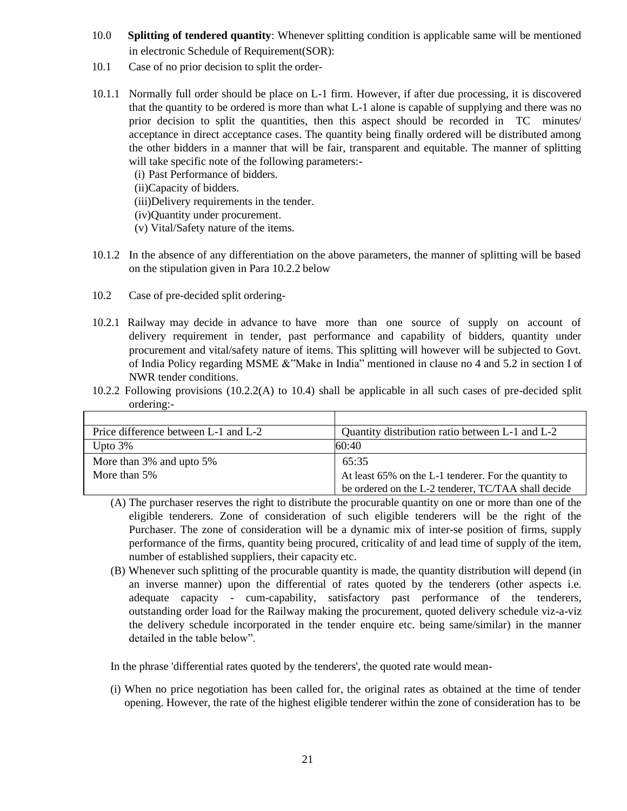- 10.0 **Splitting of tendered quantity**: Whenever splitting condition is applicable same will be mentioned in electronic Schedule of Requirement(SOR):
- 10.1 Case of no prior decision to split the order-
- 10.1.1 Normally full order should be place on L-1 firm. However, if after due processing, it is discovered that the quantity to be ordered is more than what L-1 alone is capable of supplying and there was no prior decision to split the quantities, then this aspect should be recorded in TC minutes/ acceptance in direct acceptance cases. The quantity being finally ordered will be distributed among the other bidders in a manner that will be fair, transparent and equitable. The manner of splitting will take specific note of the following parameters:-
	- (i) Past Performance of bidders.
	- (ii)Capacity of bidders.
	- (iii)Delivery requirements in the tender.
	- (iv)Quantity under procurement.
	- (v) Vital/Safety nature of the items.
- 10.1.2 In the absence of any differentiation on the above parameters, the manner of splitting will be based on the stipulation given in Para 10.2.2 below
- 10.2 Case of pre-decided split ordering-
- 10.2.1 Railway may decide in advance to have more than one source of supply on account of delivery requirement in tender, past performance and capability of bidders, quantity under procurement and vital/safety nature of items. This splitting will however will be subjected to Govt. of India Policy regarding MSME &"Make in India" mentioned in clause no 4 and 5.2 in section I of NWR tender conditions.
- 10.2.2 Following provisions (10.2.2(A) to 10.4) shall be applicable in all such cases of pre-decided split ordering:-

| Price difference between L-1 and L-2 | Quantity distribution ratio between L-1 and L-2       |
|--------------------------------------|-------------------------------------------------------|
| Upto $3\%$                           | 60:40                                                 |
| More than 3% and upto 5%             | 65:35                                                 |
| More than 5%                         | At least 65% on the L-1 tenderer. For the quantity to |
|                                      | be ordered on the L-2 tenderer, TC/TAA shall decide   |

- (A) The purchaser reserves the right to distribute the procurable quantity on one or more than one of the eligible tenderers. Zone of consideration of such eligible tenderers will be the right of the Purchaser. The zone of consideration will be a dynamic mix of inter-se position of firms, supply performance of the firms, quantity being procured, criticality of and lead time of supply of the item, number of established suppliers, their capacity etc.
- (B) Whenever such splitting of the procurable quantity is made, the quantity distribution will depend (in an inverse manner) upon the differential of rates quoted by the tenderers (other aspects i.e. adequate capacity - cum-capability, satisfactory past performance of the tenderers, outstanding order load for the Railway making the procurement, quoted delivery schedule viz-a-viz the delivery schedule incorporated in the tender enquire etc. being same/similar) in the manner detailed in the table below".

In the phrase 'differential rates quoted by the tenderers', the quoted rate would mean-

(i) When no price negotiation has been called for, the original rates as obtained at the time of tender opening. However, the rate of the highest eligible tenderer within the zone of consideration has to be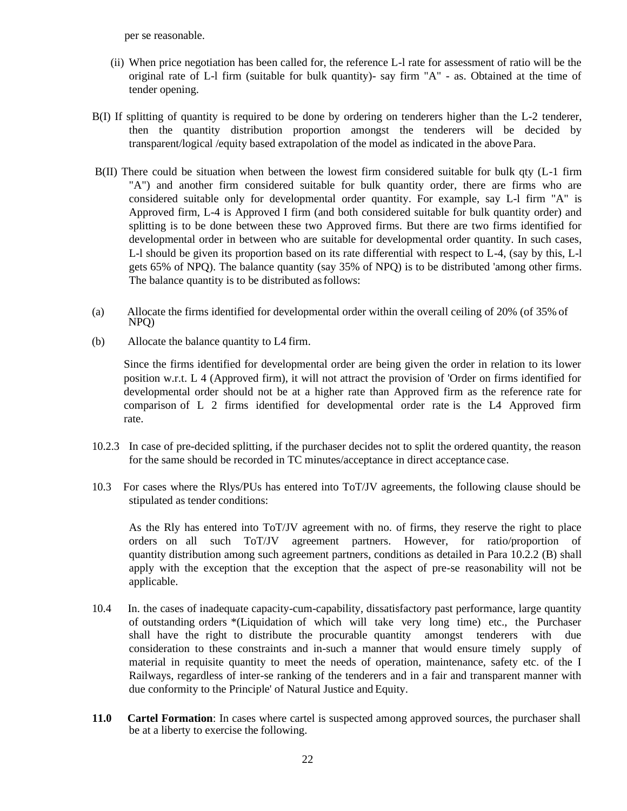per se reasonable.

- (ii) When price negotiation has been called for, the reference L-l rate for assessment of ratio will be the original rate of L-l firm (suitable for bulk quantity)- say firm "A" - as. Obtained at the time of tender opening.
- B(I) If splitting of quantity is required to be done by ordering on tenderers higher than the L-2 tenderer, then the quantity distribution proportion amongst the tenderers will be decided by transparent/logical /equity based extrapolation of the model as indicated in the abovePara.
- B(II) There could be situation when between the lowest firm considered suitable for bulk qty (L-1 firm "A") and another firm considered suitable for bulk quantity order, there are firms who are considered suitable only for developmental order quantity. For example, say L-l firm "A" is Approved firm, L-4 is Approved I firm (and both considered suitable for bulk quantity order) and splitting is to be done between these two Approved firms. But there are two firms identified for developmental order in between who are suitable for developmental order quantity. In such cases, L-l should be given its proportion based on its rate differential with respect to L-4, (say by this, L-l gets 65% of NPQ). The balance quantity (say 35% of NPQ) is to be distributed 'among other firms. The balance quantity is to be distributed as follows:
- (a) Allocate the firms identified for developmental order within the overall ceiling of 20% (of 35% of NPQ)
- (b) Allocate the balance quantity to L4 firm.

Since the firms identified for developmental order are being given the order in relation to its lower position w.r.t. L 4 (Approved firm), it will not attract the provision of 'Order on firms identified for developmental order should not be at a higher rate than Approved firm as the reference rate for comparison of L 2 firms identified for developmental order rate is the L4 Approved firm rate.

- 10.2.3 In case of pre-decided splitting, if the purchaser decides not to split the ordered quantity, the reason for the same should be recorded in TC minutes/acceptance in direct acceptance case.
- 10.3 For cases where the Rlys/PUs has entered into ToT/JV agreements, the following clause should be stipulated as tender conditions:

As the Rly has entered into ToT/JV agreement with no. of firms, they reserve the right to place orders on all such ToT/JV agreement partners. However, for ratio/proportion of quantity distribution among such agreement partners, conditions as detailed in Para 10.2.2 (B) shall apply with the exception that the exception that the aspect of pre-se reasonability will not be applicable.

- 10.4 In. the cases of inadequate capacity-cum-capability, dissatisfactory past performance, large quantity of outstanding orders \*(Liquidation of which will take very long time) etc., the Purchaser shall have the right to distribute the procurable quantity amongst tenderers with due consideration to these constraints and in-such a manner that would ensure timely supply of material in requisite quantity to meet the needs of operation, maintenance, safety etc. of the I Railways, regardless of inter-se ranking of the tenderers and in a fair and transparent manner with due conformity to the Principle' of Natural Justice and Equity.
- **11.0 Cartel Formation**: In cases where cartel is suspected among approved sources, the purchaser shall be at a liberty to exercise the following.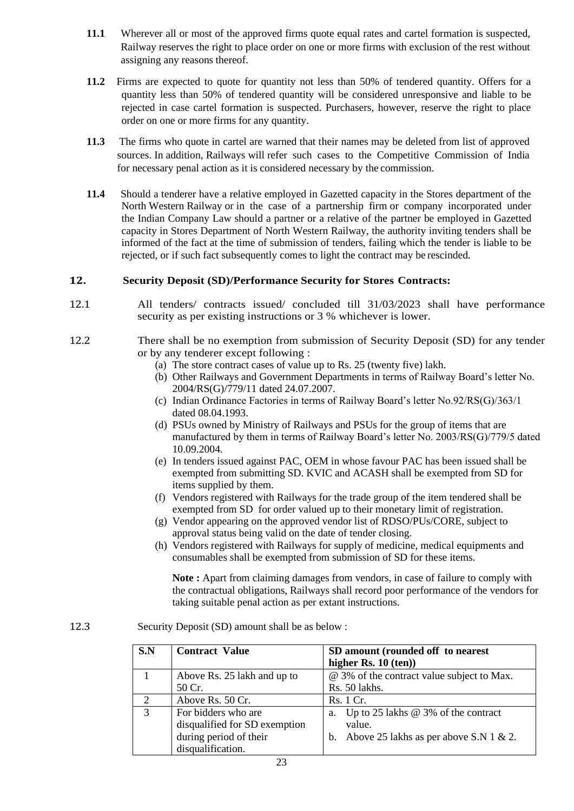- **11.1** Wherever all or most of the approved firms quote equal rates and cartel formation is suspected, Railway reserves the right to place order on one or more firms with exclusion of the rest without assigning any reasons thereof.
- **11.2** Firms are expected to quote for quantity not less than 50% of tendered quantity. Offers for a quantity less than 50% of tendered quantity will be considered unresponsive and liable to be rejected in case cartel formation is suspected. Purchasers, however, reserve the right to place order on one or more firms for any quantity.
- **11.3** The firms who quote in cartel are warned that their names may be deleted from list of approved sources. In addition, Railways will refer such cases to the Competitive Commission of India for necessary penal action as it is considered necessary by the commission.
- **11.4** Should a tenderer have a relative employed in Gazetted capacity in the Stores department of the North Western Railway or in the case of a partnership firm or company incorporated under the Indian Company Law should a partner or a relative of the partner be employed in Gazetted capacity in Stores Department of North Western Railway, the authority inviting tenders shall be informed of the fact at the time of submission of tenders, failing which the tender is liable to be rejected, or if such fact subsequently comes to light the contract may be rescinded.

# **12. Security Deposit (SD)/Performance Security for Stores Contracts:**

- 12.1 All tenders/ contracts issued/ concluded till 31/03/2023 shall have performance security as per existing instructions or 3 % whichever is lower.
- 12.2 There shall be no exemption from submission of Security Deposit (SD) for any tender or by any tenderer except following :
	- (a) The store contract cases of value up to Rs. 25 (twenty five) lakh.
	- (b) Other Railways and Government Departments in terms of Railway Board's letter No. 2004/RS(G)/779/11 dated 24.07.2007.
	- (c) Indian Ordinance Factories in terms of Railway Board's letter No.92/RS(G)/363/1 dated 08.04.1993.
	- (d) PSUs owned by Ministry of Railways and PSUs for the group of items that are manufactured by them in terms of Railway Board's letter No. 2003/RS(G)/779/5 dated 10.09.2004.
	- (e) In tenders issued against PAC, OEM in whose favour PAC has been issued shall be exempted from submitting SD. KVIC and ACASH shall be exempted from SD for items supplied by them.
	- (f) Vendors registered with Railways for the trade group of the item tendered shall be exempted from SD for order valued up to their monetary limit of registration.
	- (g) Vendor appearing on the approved vendor list of RDSO/PUs/CORE, subject to approval status being valid on the date of tender closing.
	- (h) Vendors registered with Railways for supply of medicine, medical equipments and consumables shall be exempted from submission of SD for these items.

**Note :** Apart from claiming damages from vendors, in case of failure to comply with the contractual obligations, Railways shall record poor performance of the vendors for taking suitable penal action as per extant instructions.

12.3 Security Deposit (SD) amount shall be as below :

| S.N           | <b>Contract Value</b>         | SD amount (rounded off to nearest                |  |
|---------------|-------------------------------|--------------------------------------------------|--|
|               |                               | higher Rs. $10$ (ten))                           |  |
|               | Above Rs. 25 lakh and up to   | @ 3% of the contract value subject to Max.       |  |
|               | 50 Cr.                        | Rs. 50 lakhs.                                    |  |
| $\mathcal{D}$ | Above Rs. 50 Cr.              | Rs. 1 Cr.                                        |  |
| 3             | For bidders who are           | Up to 25 lakhs $\omega$ 3% of the contract<br>a. |  |
|               | disqualified for SD exemption | value.                                           |  |
|               | during period of their        | b. Above 25 lakhs as per above S.N 1 & 2.        |  |
|               | disqualification.             |                                                  |  |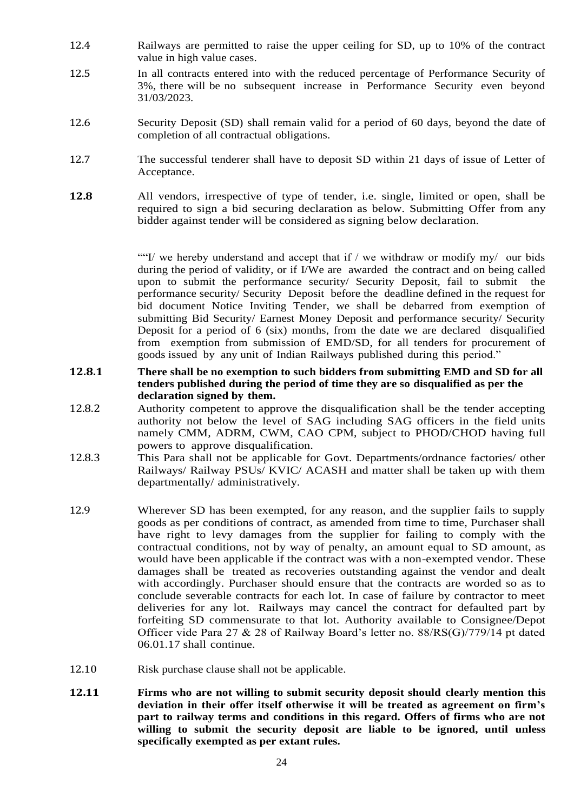- 12.4 Railways are permitted to raise the upper ceiling for SD, up to 10% of the contract value in high value cases.
- 12.5 In all contracts entered into with the reduced percentage of Performance Security of 3%, there will be no subsequent increase in Performance Security even beyond 31/03/2023.
- 12.6 Security Deposit (SD) shall remain valid for a period of 60 days, beyond the date of completion of all contractual obligations.
- 12.7 The successful tenderer shall have to deposit SD within 21 days of issue of Letter of Acceptance.
- **12.8** All vendors, irrespective of type of tender, i.e. single, limited or open, shall be required to sign a bid securing declaration as below. Submitting Offer from any bidder against tender will be considered as signing below declaration.

""I/ we hereby understand and accept that if / we withdraw or modify  $my/$  our bids during the period of validity, or if I/We are awarded the contract and on being called upon to submit the performance security/ Security Deposit, fail to submit the performance security/ Security Deposit before the deadline defined in the request for bid document Notice Inviting Tender, we shall be debarred from exemption of submitting Bid Security/ Earnest Money Deposit and performance security/ Security Deposit for a period of 6 (six) months, from the date we are declared disqualified from exemption from submission of EMD/SD, for all tenders for procurement of goods issued by any unit of Indian Railways published during this period."

- **12.8.1 There shall be no exemption to such bidders from submitting EMD and SD for all tenders published during the period of time they are so disqualified as per the declaration signed by them.**
- 12.8.2 Authority competent to approve the disqualification shall be the tender accepting authority not below the level of SAG including SAG officers in the field units namely CMM, ADRM, CWM, CAO CPM, subject to PHOD/CHOD having full powers to approve disqualification.
- 12.8.3 This Para shall not be applicable for Govt. Departments/ordnance factories/ other Railways/ Railway PSUs/ KVIC/ ACASH and matter shall be taken up with them departmentally/ administratively.
- 12.9 Wherever SD has been exempted, for any reason, and the supplier fails to supply goods as per conditions of contract, as amended from time to time, Purchaser shall have right to levy damages from the supplier for failing to comply with the contractual conditions, not by way of penalty, an amount equal to SD amount, as would have been applicable if the contract was with a non-exempted vendor. These damages shall be treated as recoveries outstanding against the vendor and dealt with accordingly. Purchaser should ensure that the contracts are worded so as to conclude severable contracts for each lot. In case of failure by contractor to meet deliveries for any lot. Railways may cancel the contract for defaulted part by forfeiting SD commensurate to that lot. Authority available to Consignee/Depot Officer vide Para 27 & 28 of Railway Board's letter no. 88/RS(G)/779/14 pt dated 06.01.17 shall continue.
- 12.10 Risk purchase clause shall not be applicable.
- **12.11 Firms who are not willing to submit security deposit should clearly mention this deviation in their offer itself otherwise it will be treated as agreement on firm's part to railway terms and conditions in this regard. Offers of firms who are not willing to submit the security deposit are liable to be ignored, until unless specifically exempted as per extant rules.**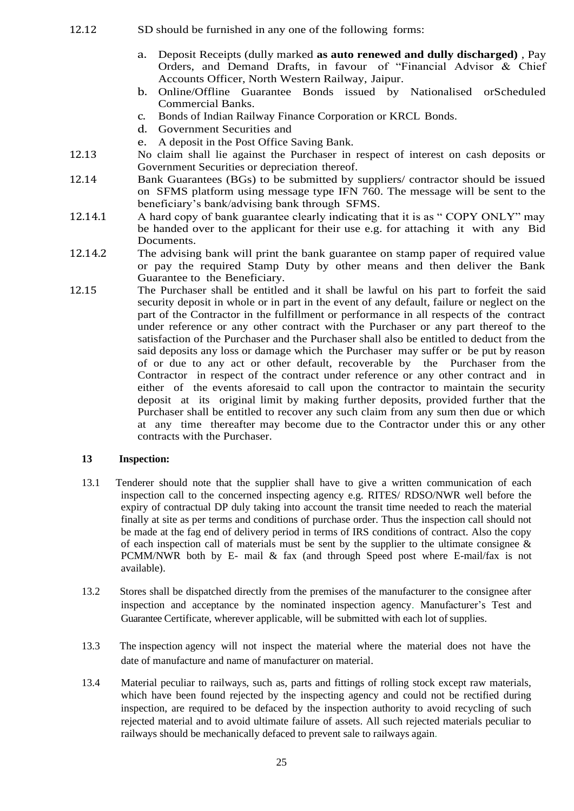- 12.12 SD should be furnished in any one of the following forms:
	- a. Deposit Receipts (dully marked **as auto renewed and dully discharged)** , Pay Orders, and Demand Drafts, in favour of "Financial Advisor & Chief Accounts Officer, North Western Railway, Jaipur.
	- b. Online/Offline Guarantee Bonds issued by Nationalised orScheduled Commercial Banks.
	- c. Bonds of Indian Railway Finance Corporation or KRCL Bonds.
	- d. Government Securities and
	- e. A deposit in the Post Office Saving Bank.
- 12.13 No claim shall lie against the Purchaser in respect of interest on cash deposits or Government Securities or depreciation thereof.
- 12.14 Bank Guarantees (BGs) to be submitted by suppliers/ contractor should be issued on SFMS platform using message type IFN 760. The message will be sent to the beneficiary's bank/advising bank through SFMS.
- 12.14.1 A hard copy of bank guarantee clearly indicating that it is as " COPY ONLY" may be handed over to the applicant for their use e.g. for attaching it with any Bid Documents.
- 12.14.2 The advising bank will print the bank guarantee on stamp paper of required value or pay the required Stamp Duty by other means and then deliver the Bank Guarantee to the Beneficiary.
- 12.15 The Purchaser shall be entitled and it shall be lawful on his part to forfeit the said security deposit in whole or in part in the event of any default, failure or neglect on the part of the Contractor in the fulfillment or performance in all respects of the contract under reference or any other contract with the Purchaser or any part thereof to the satisfaction of the Purchaser and the Purchaser shall also be entitled to deduct from the said deposits any loss or damage which the Purchaser may suffer or be put by reason of or due to any act or other default, recoverable by the Purchaser from the Contractor in respect of the contract under reference or any other contract and in either of the events aforesaid to call upon the contractor to maintain the security deposit at its original limit by making further deposits, provided further that the Purchaser shall be entitled to recover any such claim from any sum then due or which at any time thereafter may become due to the Contractor under this or any other contracts with the Purchaser.

# **13 Inspection:**

- 13.1 Tenderer should note that the supplier shall have to give a written communication of each inspection call to the concerned inspecting agency e.g. RITES/ RDSO/NWR well before the expiry of contractual DP duly taking into account the transit time needed to reach the material finally at site as per terms and conditions of purchase order. Thus the inspection call should not be made at the fag end of delivery period in terms of IRS conditions of contract. Also the copy of each inspection call of materials must be sent by the supplier to the ultimate consignee  $\&$ PCMM/NWR both by E- mail & fax (and through Speed post where E-mail/fax is not available).
- 13.2 Stores shall be dispatched directly from the premises of the manufacturer to the consignee after inspection and acceptance by the nominated inspection agency. Manufacturer's Test and Guarantee Certificate, wherever applicable, will be submitted with each lot of supplies.
- 13.3 The inspection agency will not inspect the material where the material does not have the date of manufacture and name of manufacturer on material.
- 13.4 Material peculiar to railways, such as, parts and fittings of rolling stock except raw materials, which have been found rejected by the inspecting agency and could not be rectified during inspection, are required to be defaced by the inspection authority to avoid recycling of such rejected material and to avoid ultimate failure of assets. All such rejected materials peculiar to railways should be mechanically defaced to prevent sale to railways again.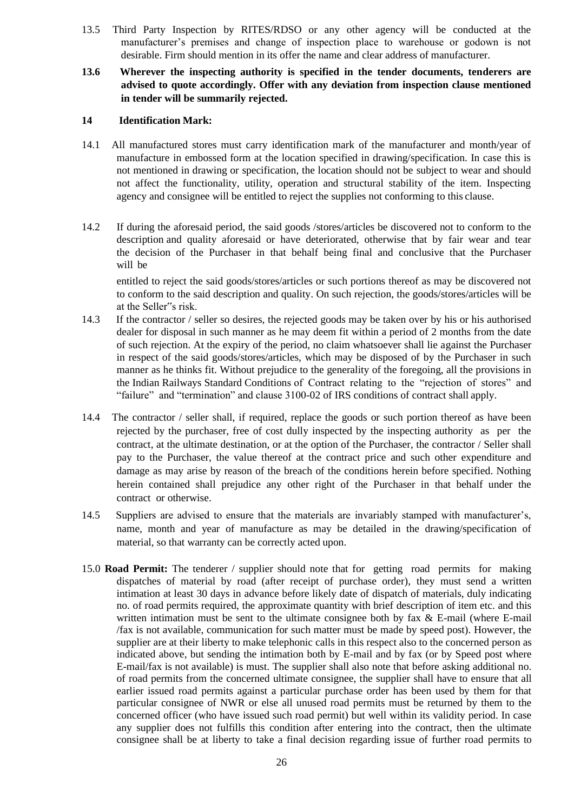- 13.5 Third Party Inspection by RITES/RDSO or any other agency will be conducted at the manufacturer's premises and change of inspection place to warehouse or godown is not desirable. Firm should mention in its offer the name and clear address of manufacturer.
- **13.6 Wherever the inspecting authority is specified in the tender documents, tenderers are advised to quote accordingly. Offer with any deviation from inspection clause mentioned in tender will be summarily rejected.**

## **14 Identification Mark:**

- 14.1 All manufactured stores must carry identification mark of the manufacturer and month/year of manufacture in embossed form at the location specified in drawing/specification. In case this is not mentioned in drawing or specification, the location should not be subject to wear and should not affect the functionality, utility, operation and structural stability of the item. Inspecting agency and consignee will be entitled to reject the supplies not conforming to this clause.
- 14.2 If during the aforesaid period, the said goods /stores/articles be discovered not to conform to the description and quality aforesaid or have deteriorated, otherwise that by fair wear and tear the decision of the Purchaser in that behalf being final and conclusive that the Purchaser will be

entitled to reject the said goods/stores/articles or such portions thereof as may be discovered not to conform to the said description and quality. On such rejection, the goods/stores/articles will be at the Seller"s risk.

- 14.3 If the contractor / seller so desires, the rejected goods may be taken over by his or his authorised dealer for disposal in such manner as he may deem fit within a period of 2 months from the date of such rejection. At the expiry of the period, no claim whatsoever shall lie against the Purchaser in respect of the said goods/stores/articles, which may be disposed of by the Purchaser in such manner as he thinks fit. Without prejudice to the generality of the foregoing, all the provisions in the Indian Railways Standard Conditions of Contract relating to the "rejection of stores" and "failure" and "termination" and clause 3100-02 of IRS conditions of contract shall apply.
- 14.4 The contractor / seller shall, if required, replace the goods or such portion thereof as have been rejected by the purchaser, free of cost dully inspected by the inspecting authority as per the contract, at the ultimate destination, or at the option of the Purchaser, the contractor / Seller shall pay to the Purchaser, the value thereof at the contract price and such other expenditure and damage as may arise by reason of the breach of the conditions herein before specified. Nothing herein contained shall prejudice any other right of the Purchaser in that behalf under the contract or otherwise.
- 14.5 Suppliers are advised to ensure that the materials are invariably stamped with manufacturer's, name, month and year of manufacture as may be detailed in the drawing/specification of material, so that warranty can be correctly acted upon.
- 15.0 **Road Permit:** The tenderer / supplier should note that for getting road permits for making dispatches of material by road (after receipt of purchase order), they must send a written intimation at least 30 days in advance before likely date of dispatch of materials, duly indicating no. of road permits required, the approximate quantity with brief description of item etc. and this written intimation must be sent to the ultimate consignee both by fax & E-mail (where E-mail /fax is not available, communication for such matter must be made by speed post). However, the supplier are at their liberty to make telephonic calls in this respect also to the concerned person as indicated above, but sending the intimation both by E-mail and by fax (or by Speed post where E-mail/fax is not available) is must. The supplier shall also note that before asking additional no. of road permits from the concerned ultimate consignee, the supplier shall have to ensure that all earlier issued road permits against a particular purchase order has been used by them for that particular consignee of NWR or else all unused road permits must be returned by them to the concerned officer (who have issued such road permit) but well within its validity period. In case any supplier does not fulfills this condition after entering into the contract, then the ultimate consignee shall be at liberty to take a final decision regarding issue of further road permits to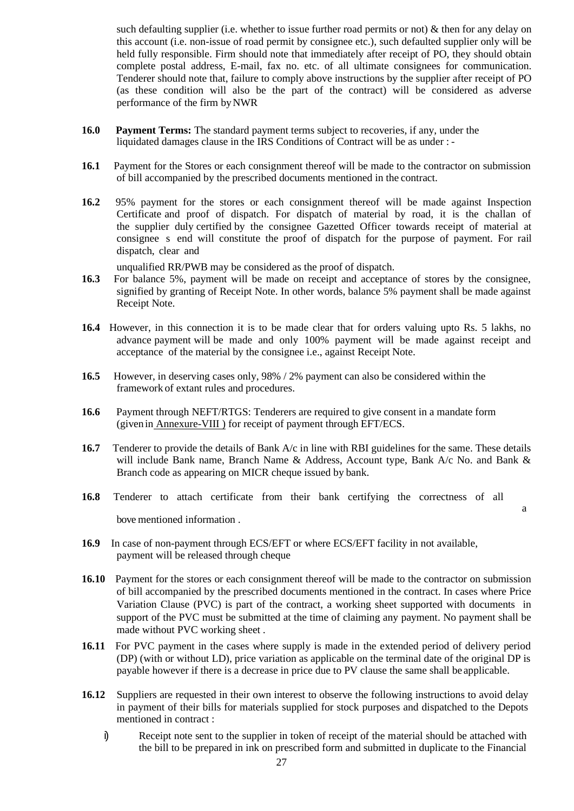such defaulting supplier (i.e. whether to issue further road permits or not) & then for any delay on this account (i.e. non-issue of road permit by consignee etc.), such defaulted supplier only will be held fully responsible. Firm should note that immediately after receipt of PO, they should obtain complete postal address, E-mail, fax no. etc. of all ultimate consignees for communication. Tenderer should note that, failure to comply above instructions by the supplier after receipt of PO (as these condition will also be the part of the contract) will be considered as adverse performance of the firm byNWR

- **16.0 Payment Terms:** The standard payment terms subject to recoveries, if any, under the liquidated damages clause in the IRS Conditions of Contract will be as under : -
- **16.1** Payment for the Stores or each consignment thereof will be made to the contractor on submission of bill accompanied by the prescribed documents mentioned in the contract.
- **16.2** 95% payment for the stores or each consignment thereof will be made against Inspection Certificate and proof of dispatch. For dispatch of material by road, it is the challan of the supplier duly certified by the consignee Gazetted Officer towards receipt of material at consignee s end will constitute the proof of dispatch for the purpose of payment. For rail dispatch, clear and

unqualified RR/PWB may be considered as the proof of dispatch.

- **16.3** For balance 5%, payment will be made on receipt and acceptance of stores by the consignee, signified by granting of Receipt Note. In other words, balance 5% payment shall be made against Receipt Note.
- **16.4** However, in this connection it is to be made clear that for orders valuing upto Rs. 5 lakhs, no advance payment will be made and only 100% payment will be made against receipt and acceptance of the material by the consignee i.e., against Receipt Note.
- **16.5** However, in deserving cases only, 98% / 2% payment can also be considered within the framework of extant rules and procedures.
- **16.6** Payment through NEFT/RTGS: Tenderers are required to give consent in a mandate form (givenin Annexure-VIII ) for receipt of payment through EFT/ECS.
- **16.7** Tenderer to provide the details of Bank A/c in line with RBI guidelines for the same. These details will include Bank name, Branch Name & Address, Account type, Bank A/c No. and Bank & Branch code as appearing on MICR cheque issued by bank.
- **16.8** Tenderer to attach certificate from their bank certifying the correctness of all a bove mentioned information .
- **16.9** In case of non-payment through ECS/EFT or where ECS/EFT facility in not available, payment will be released through cheque
- **16.10** Payment for the stores or each consignment thereof will be made to the contractor on submission of bill accompanied by the prescribed documents mentioned in the contract. In cases where Price Variation Clause (PVC) is part of the contract, a working sheet supported with documents in support of the PVC must be submitted at the time of claiming any payment. No payment shall be made without PVC working sheet .
- **16.11** For PVC payment in the cases where supply is made in the extended period of delivery period (DP) (with or without LD), price variation as applicable on the terminal date of the original DP is payable however if there is a decrease in price due to PV clause the same shall be applicable.
- **16.12** Suppliers are requested in their own interest to observe the following instructions to avoid delay in payment of their bills for materials supplied for stock purposes and dispatched to the Depots mentioned in contract :
	- i) Receipt note sent to the supplier in token of receipt of the material should be attached with the bill to be prepared in ink on prescribed form and submitted in duplicate to the Financial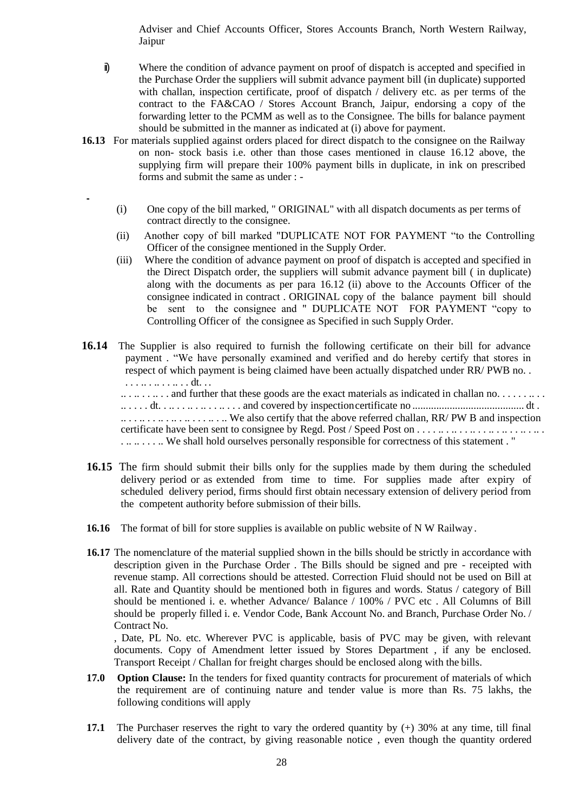Adviser and Chief Accounts Officer, Stores Accounts Branch, North Western Railway, Jaipur

- ii) Where the condition of advance payment on proof of dispatch is accepted and specified in the Purchase Order the suppliers will submit advance payment bill (in duplicate) supported with challan, inspection certificate, proof of dispatch / delivery etc. as per terms of the contract to the FA&CAO / Stores Account Branch, Jaipur, endorsing a copy of the forwarding letter to the PCMM as well as to the Consignee. The bills for balance payment should be submitted in the manner as indicated at (i) above for payment.
- **16.13** For materials supplied against orders placed for direct dispatch to the consignee on the Railway on non- stock basis i.e. other than those cases mentioned in clause 16.12 above, the supplying firm will prepare their 100% payment bills in duplicate, in ink on prescribed forms and submit the same as under : -
	- (i) One copy of the bill marked, " ORIGINAL" with all dispatch documents as per terms of contract directly to the consignee.
	- (ii) Another copy of bill marked "DUPLICATE NOT FOR PAYMENT "to the Controlling Officer of the consignee mentioned in the Supply Order.
	- (iii) Where the condition of advance payment on proof of dispatch is accepted and specified in the Direct Dispatch order, the suppliers will submit advance payment bill ( in duplicate) along with the documents as per para 16.12 (ii) above to the Accounts Officer of the consignee indicated in contract . ORIGINAL copy of the balance payment bill should be sent to the consignee and " DUPLICATE NOT FOR PAYMENT "copy to Controlling Officer of the consignee as Specified in such Supply Order.
- **16.14** The Supplier is also required to furnish the following certificate on their bill for advance payment . "We have personally examined and verified and do hereby certify that stores in respect of which payment is being claimed have been actually dispatched under RR/ PWB no. . . . . .. . . . . . . . . dt. . .

.. . .. . . .. . . and further that these goods are the exact materials as indicated in challan no. . . . . . .. . . .. . . . . dt. . .. . . .. . .. . . .. . . . and covered by inspectioncertificate no .......................................... dt . .. . . .. . . .. . .. . .. . . . .. . .. We also certify that the above referred challan, RR/ PW B and inspection certificate have been sent to consignee by Regd. Post / Speed Post on . . . . .. . .. . . .. . . .. . .. . . .. . .. . . .. .. . . . .. We shall hold ourselves personally responsible for correctness of this statement . "

- **16.15** The firm should submit their bills only for the supplies made by them during the scheduled delivery period or as extended from time to time. For supplies made after expiry of scheduled delivery period, firms should first obtain necessary extension of delivery period from the competent authority before submission of their bills.
- **16.16** The format of bill for store supplies is available on public website of N W Railway.
- 16.17 The nomenclature of the material supplied shown in the bills should be strictly in accordance with description given in the Purchase Order . The Bills should be signed and pre - receipted with revenue stamp. All corrections should be attested. Correction Fluid should not be used on Bill at all. Rate and Quantity should be mentioned both in figures and words. Status / category of Bill should be mentioned i. e. whether Advance/ Balance / 100% / PVC etc . All Columns of Bill should be properly filled i. e. Vendor Code, Bank Account No. and Branch, Purchase Order No. / Contract No.

, Date, PL No. etc. Wherever PVC is applicable, basis of PVC may be given, with relevant documents. Copy of Amendment letter issued by Stores Department , if any be enclosed. Transport Receipt / Challan for freight charges should be enclosed along with the bills.

- **17.0 Option Clause:** In the tenders for fixed quantity contracts for procurement of materials of which the requirement are of continuing nature and tender value is more than Rs. 75 lakhs, the following conditions will apply
- **17.1** The Purchaser reserves the right to vary the ordered quantity by  $(+)$  30% at any time, till final delivery date of the contract, by giving reasonable notice , even though the quantity ordered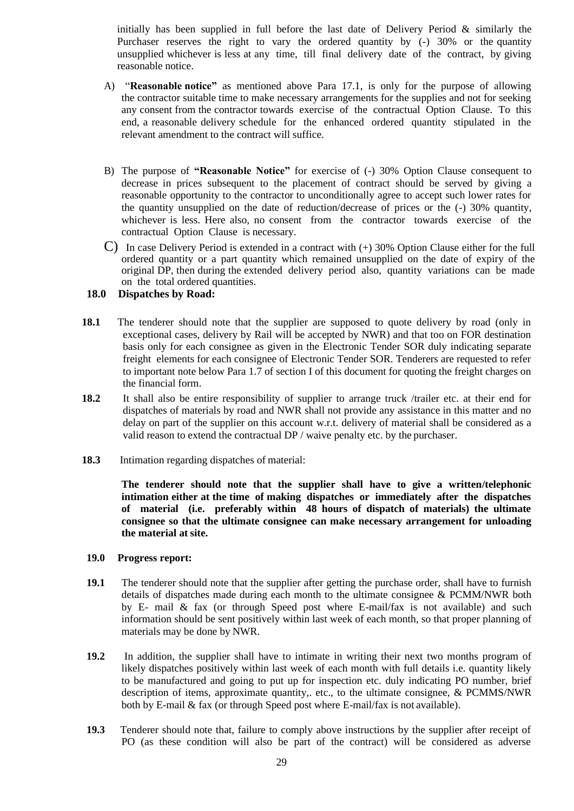initially has been supplied in full before the last date of Delivery Period  $\&$  similarly the Purchaser reserves the right to vary the ordered quantity by (-) 30% or the quantity unsupplied whichever is less at any time, till final delivery date of the contract, by giving reasonable notice.

- A) "**Reasonable notice"** as mentioned above Para 17.1, is only for the purpose of allowing the contractor suitable time to make necessary arrangements for the supplies and not for seeking any consent from the contractor towards exercise of the contractual Option Clause. To this end, a reasonable delivery schedule for the enhanced ordered quantity stipulated in the relevant amendment to the contract will suffice.
- B) The purpose of **"Reasonable Notice"** for exercise of (-) 30% Option Clause consequent to decrease in prices subsequent to the placement of contract should be served by giving a reasonable opportunity to the contractor to unconditionally agree to accept such lower rates for the quantity unsupplied on the date of reduction/decrease of prices or the (-) 30% quantity, whichever is less. Here also, no consent from the contractor towards exercise of the contractual Option Clause is necessary.
- C) In case Delivery Period is extended in a contract with  $(+)$  30% Option Clause either for the full ordered quantity or a part quantity which remained unsupplied on the date of expiry of the original DP, then during the extended delivery period also, quantity variations can be made on the total ordered quantities.

#### **18.0 Dispatches by Road:**

- **18.1** The tenderer should note that the supplier are supposed to quote delivery by road (only in exceptional cases, delivery by Rail will be accepted by NWR) and that too on FOR destination basis only for each consignee as given in the Electronic Tender SOR duly indicating separate freight elements for each consignee of Electronic Tender SOR. Tenderers are requested to refer to important note below Para 1.7 of section I of this document for quoting the freight charges on the financial form.
- **18.2** It shall also be entire responsibility of supplier to arrange truck /trailer etc. at their end for dispatches of materials by road and NWR shall not provide any assistance in this matter and no delay on part of the supplier on this account w.r.t. delivery of material shall be considered as a valid reason to extend the contractual DP / waive penalty etc. by the purchaser.
- **18.3** Intimation regarding dispatches of material:

**The tenderer should note that the supplier shall have to give a written/telephonic intimation either at the time of making dispatches or immediately after the dispatches of material (i.e. preferably within 48 hours of dispatch of materials) the ultimate consignee so that the ultimate consignee can make necessary arrangement for unloading the material at site.**

#### **19.0 Progress report:**

- **19.1** The tenderer should note that the supplier after getting the purchase order, shall have to furnish details of dispatches made during each month to the ultimate consignee & PCMM/NWR both by E- mail & fax (or through Speed post where E-mail/fax is not available) and such information should be sent positively within last week of each month, so that proper planning of materials may be done by NWR.
- **19.2** In addition, the supplier shall have to intimate in writing their next two months program of likely dispatches positively within last week of each month with full details i.e. quantity likely to be manufactured and going to put up for inspection etc. duly indicating PO number, brief description of items, approximate quantity,. etc., to the ultimate consignee, & PCMMS/NWR both by E-mail & fax (or through Speed post where E-mail/fax is not available).
- **19.3** Tenderer should note that, failure to comply above instructions by the supplier after receipt of PO (as these condition will also be part of the contract) will be considered as adverse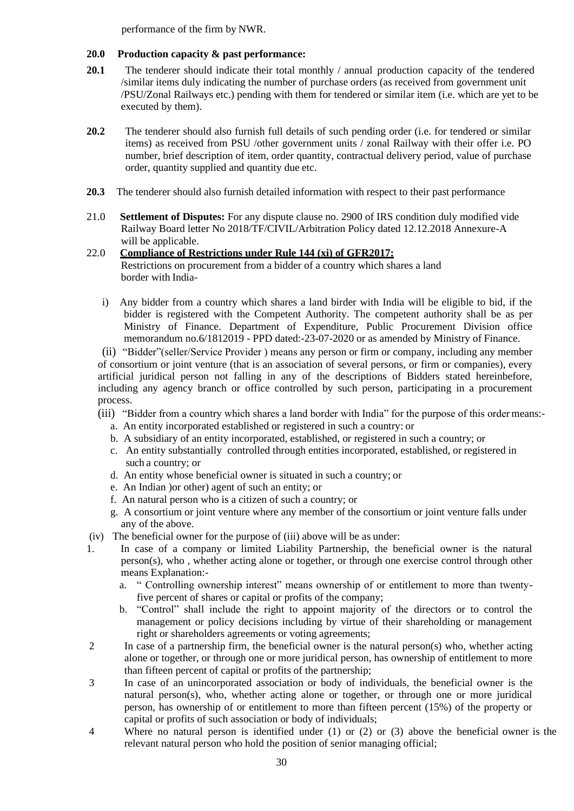performance of the firm by NWR.

# **20.0 Production capacity & past performance:**

- **20.1** The tenderer should indicate their total monthly / annual production capacity of the tendered /similar items duly indicating the number of purchase orders (as received from government unit /PSU/Zonal Railways etc.) pending with them for tendered or similar item (i.e. which are yet to be executed by them).
- **20.2** The tenderer should also furnish full details of such pending order (i.e. for tendered or similar items) as received from PSU /other government units / zonal Railway with their offer i.e. PO number, brief description of item, order quantity, contractual delivery period, value of purchase order, quantity supplied and quantity due etc.
- **20.3** The tenderer should also furnish detailed information with respect to their past performance
- 21.0 **Settlement of Disputes:** For any dispute clause no. 2900 of IRS condition duly modified vide Railway Board letter No 2018/TF/CIVIL/Arbitration Policy dated 12.12.2018 Annexure-A will be applicable.

# 22.0 **Compliance of Restrictions under Rule 144 (xi) of GFR2017:** Restrictions on procurement from a bidder of a country which shares a land border with India-

i) Any bidder from a country which shares a land birder with India will be eligible to bid, if the bidder is registered with the Competent Authority. The competent authority shall be as per Ministry of Finance. Department of Expenditure, Public Procurement Division office memorandum no.6/1812019 - PPD dated:-23-07-2020 or as amended by Ministry of Finance.

(ii) "Bidder"(seller/Service Provider ) means any person or firm or company, including any member of consortium or joint venture (that is an association of several persons, or firm or companies), every artificial juridical person not falling in any of the descriptions of Bidders stated hereinbefore, including any agency branch or office controlled by such person, participating in a procurement process.

- (iii) "Bidder from a country which shares a land border with India" for the purpose of this order means:
	- a. An entity incorporated established or registered in such a country: or
	- b. A subsidiary of an entity incorporated, established, or registered in such a country; or
	- c. An entity substantially controlled through entities incorporated, established, or registered in such a country; or
	- d. An entity whose beneficial owner is situated in such a country; or
	- e. An Indian )or other) agent of such an entity; or
	- f. An natural person who is a citizen of such a country; or
	- g. A consortium or joint venture where any member of the consortium or joint venture falls under any of the above.
- (iv) The beneficial owner for the purpose of (iii) above will be as under:
- 1. In case of a company or limited Liability Partnership, the beneficial owner is the natural person(s), who , whether acting alone or together, or through one exercise control through other means Explanation:
	- a. " Controlling ownership interest" means ownership of or entitlement to more than twentyfive percent of shares or capital or profits of the company;
	- b. "Control" shall include the right to appoint majority of the directors or to control the management or policy decisions including by virtue of their shareholding or management right or shareholders agreements or voting agreements;
- 2 In case of a partnership firm, the beneficial owner is the natural person(s) who, whether acting alone or together, or through one or more juridical person, has ownership of entitlement to more than fifteen percent of capital or profits of the partnership;
- 3 In case of an unincorporated association or body of individuals, the beneficial owner is the natural person(s), who, whether acting alone or together, or through one or more juridical person, has ownership of or entitlement to more than fifteen percent (15%) of the property or capital or profits of such association or body of individuals;
- 4 Where no natural person is identified under (1) or (2) or (3) above the beneficial owner is the relevant natural person who hold the position of senior managing official;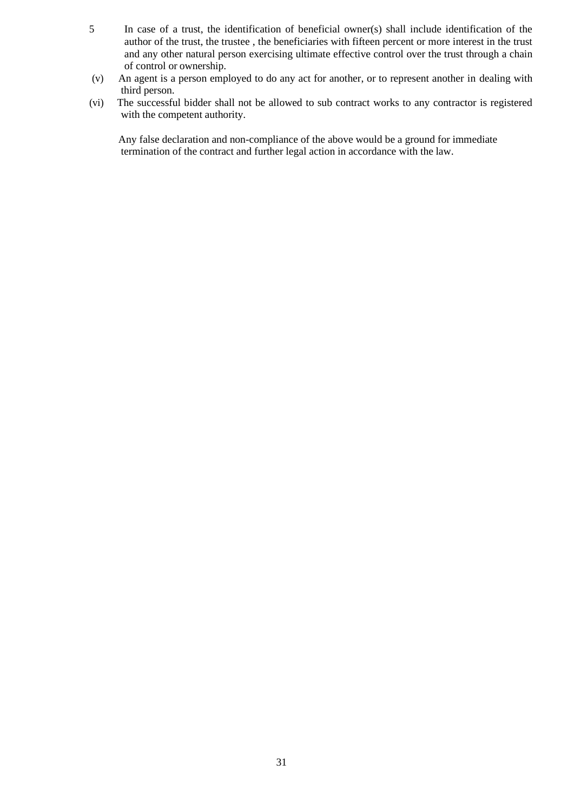- 5 In case of a trust, the identification of beneficial owner(s) shall include identification of the author of the trust, the trustee , the beneficiaries with fifteen percent or more interest in the trust and any other natural person exercising ultimate effective control over the trust through a chain of control or ownership.
- (v) An agent is a person employed to do any act for another, or to represent another in dealing with third person.
- (vi) The successful bidder shall not be allowed to sub contract works to any contractor is registered with the competent authority.

Any false declaration and non-compliance of the above would be a ground for immediate termination of the contract and further legal action in accordance with the law.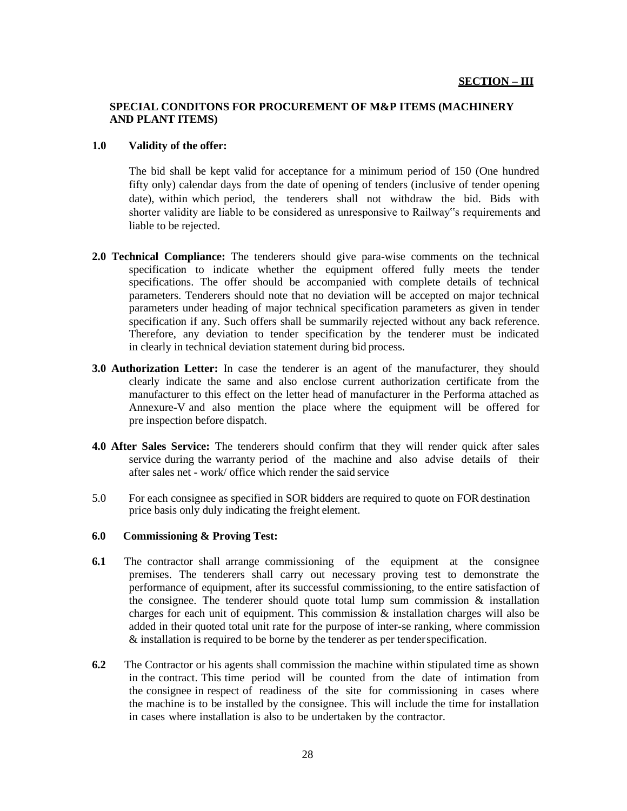## **SPECIAL CONDITONS FOR PROCUREMENT OF M&P ITEMS (MACHINERY AND PLANT ITEMS)**

#### **1.0 Validity of the offer:**

The bid shall be kept valid for acceptance for a minimum period of 150 (One hundred fifty only) calendar days from the date of opening of tenders (inclusive of tender opening date), within which period, the tenderers shall not withdraw the bid. Bids with shorter validity are liable to be considered as unresponsive to Railway"s requirements and liable to be rejected.

- **2.0 Technical Compliance:** The tenderers should give para-wise comments on the technical specification to indicate whether the equipment offered fully meets the tender specifications. The offer should be accompanied with complete details of technical parameters. Tenderers should note that no deviation will be accepted on major technical parameters under heading of major technical specification parameters as given in tender specification if any. Such offers shall be summarily rejected without any back reference. Therefore, any deviation to tender specification by the tenderer must be indicated in clearly in technical deviation statement during bid process.
- **3.0 Authorization Letter:** In case the tenderer is an agent of the manufacturer, they should clearly indicate the same and also enclose current authorization certificate from the manufacturer to this effect on the letter head of manufacturer in the Performa attached as Annexure-V and also mention the place where the equipment will be offered for pre inspection before dispatch.
- **4.0 After Sales Service:** The tenderers should confirm that they will render quick after sales service during the warranty period of the machine and also advise details of their after sales net - work/ office which render the said service
- 5.0 For each consignee as specified in SOR bidders are required to quote on FOR destination price basis only duly indicating the freight element.

#### **6.0 Commissioning & Proving Test:**

- **6.1** The contractor shall arrange commissioning of the equipment at the consignee premises. The tenderers shall carry out necessary proving test to demonstrate the performance of equipment, after its successful commissioning, to the entire satisfaction of the consignee. The tenderer should quote total lump sum commission  $\&$  installation charges for each unit of equipment. This commission  $\&$  installation charges will also be added in their quoted total unit rate for the purpose of inter-se ranking, where commission & installation is required to be borne by the tenderer as per tenderspecification.
- **6.2** The Contractor or his agents shall commission the machine within stipulated time as shown in the contract. This time period will be counted from the date of intimation from the consignee in respect of readiness of the site for commissioning in cases where the machine is to be installed by the consignee. This will include the time for installation in cases where installation is also to be undertaken by the contractor.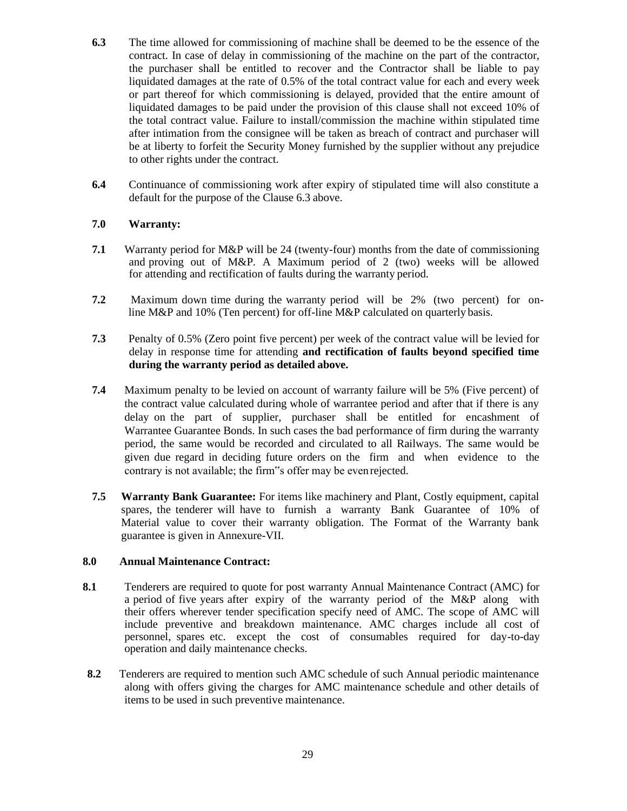- **6.3** The time allowed for commissioning of machine shall be deemed to be the essence of the contract. In case of delay in commissioning of the machine on the part of the contractor, the purchaser shall be entitled to recover and the Contractor shall be liable to pay liquidated damages at the rate of 0.5% of the total contract value for each and every week or part thereof for which commissioning is delayed, provided that the entire amount of liquidated damages to be paid under the provision of this clause shall not exceed 10% of the total contract value. Failure to install/commission the machine within stipulated time after intimation from the consignee will be taken as breach of contract and purchaser will be at liberty to forfeit the Security Money furnished by the supplier without any prejudice to other rights under the contract.
- **6.4** Continuance of commissioning work after expiry of stipulated time will also constitute a default for the purpose of the Clause 6.3 above.

### **7.0 Warranty:**

- **7.1** Warranty period for M&P will be 24 (twenty-four) months from the date of commissioning and proving out of M&P. A Maximum period of 2 (two) weeks will be allowed for attending and rectification of faults during the warranty period.
- **7.2** Maximum down time during the warranty period will be 2% (two percent) for online M&P and 10% (Ten percent) for off-line M&P calculated on quarterly basis.
- **7.3** Penalty of 0.5% (Zero point five percent) per week of the contract value will be levied for delay in response time for attending **and rectification of faults beyond specified time during the warranty period as detailed above.**
- **7.4** Maximum penalty to be levied on account of warranty failure will be 5% (Five percent) of the contract value calculated during whole of warrantee period and after that if there is any delay on the part of supplier, purchaser shall be entitled for encashment of Warrantee Guarantee Bonds. In such cases the bad performance of firm during the warranty period, the same would be recorded and circulated to all Railways. The same would be given due regard in deciding future orders on the firm and when evidence to the contrary is not available; the firm"s offer may be evenrejected.
- **7.5 Warranty Bank Guarantee:** For items like machinery and Plant, Costly equipment, capital spares, the tenderer will have to furnish a warranty Bank Guarantee of 10% of Material value to cover their warranty obligation. The Format of the Warranty bank guarantee is given in Annexure-VII.

### **8.0 Annual Maintenance Contract:**

- **8.1** Tenderers are required to quote for post warranty Annual Maintenance Contract (AMC) for a period of five years after expiry of the warranty period of the M&P along with their offers wherever tender specification specify need of AMC. The scope of AMC will include preventive and breakdown maintenance. AMC charges include all cost of personnel, spares etc. except the cost of consumables required for day-to-day operation and daily maintenance checks.
- **8.2** Tenderers are required to mention such AMC schedule of such Annual periodic maintenance along with offers giving the charges for AMC maintenance schedule and other details of items to be used in such preventive maintenance.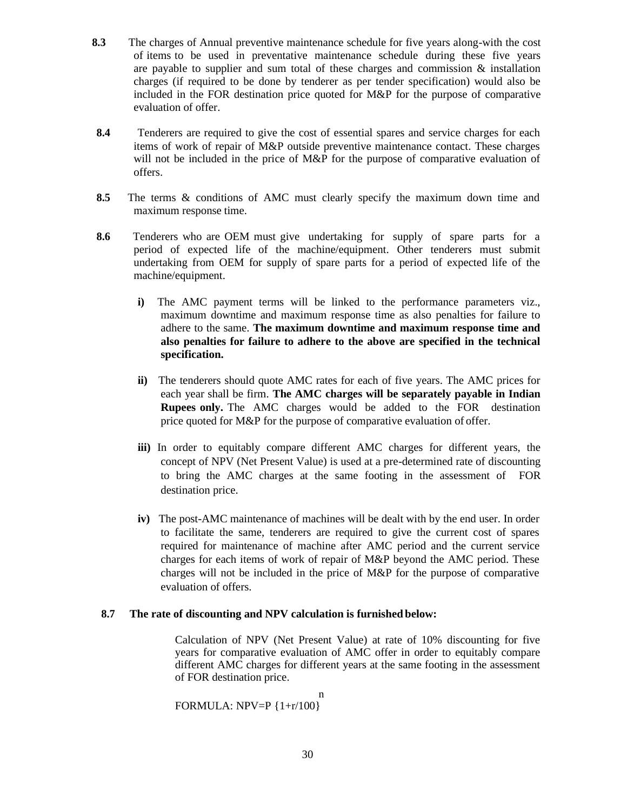- **8.3** The charges of Annual preventive maintenance schedule for five years along-with the cost of items to be used in preventative maintenance schedule during these five years are payable to supplier and sum total of these charges and commission  $\&$  installation charges (if required to be done by tenderer as per tender specification) would also be included in the FOR destination price quoted for M&P for the purpose of comparative evaluation of offer.
- **8.4** Tenderers are required to give the cost of essential spares and service charges for each items of work of repair of M&P outside preventive maintenance contact. These charges will not be included in the price of M&P for the purpose of comparative evaluation of offers.
- **8.5** The terms & conditions of AMC must clearly specify the maximum down time and maximum response time.
- **8.6** Tenderers who are OEM must give undertaking for supply of spare parts for a period of expected life of the machine/equipment. Other tenderers must submit undertaking from OEM for supply of spare parts for a period of expected life of the machine/equipment.
	- **i)** The AMC payment terms will be linked to the performance parameters viz., maximum downtime and maximum response time as also penalties for failure to adhere to the same. **The maximum downtime and maximum response time and also penalties for failure to adhere to the above are specified in the technical specification.**
	- **ii)** The tenderers should quote AMC rates for each of five years. The AMC prices for each year shall be firm. **The AMC charges will be separately payable in Indian Rupees only.** The AMC charges would be added to the FOR destination price quoted for M&P for the purpose of comparative evaluation of offer.
	- **iii)** In order to equitably compare different AMC charges for different years, the concept of NPV (Net Present Value) is used at a pre-determined rate of discounting to bring the AMC charges at the same footing in the assessment of FOR destination price.
	- **iv)** The post-AMC maintenance of machines will be dealt with by the end user. In order to facilitate the same, tenderers are required to give the current cost of spares required for maintenance of machine after AMC period and the current service charges for each items of work of repair of M&P beyond the AMC period. These charges will not be included in the price of M&P for the purpose of comparative evaluation of offers.

### **8.7 The rate of discounting and NPV calculation is furnished below:**

Calculation of NPV (Net Present Value) at rate of 10% discounting for five years for comparative evaluation of AMC offer in order to equitably compare different AMC charges for different years at the same footing in the assessment of FOR destination price.

n FORMULA: NPV=P {1+r/100}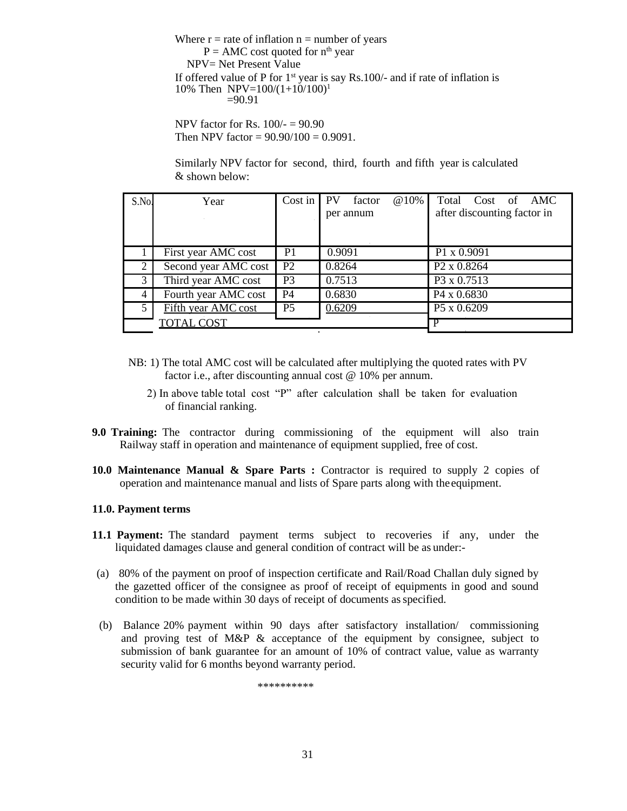Where  $r =$  rate of inflation  $n =$  number of years  $P = AMC$  cost quoted for  $n<sup>th</sup>$  year NPV= Net Present Value If offered value of P for  $1<sup>st</sup>$  year is say Rs.100/- and if rate of inflation is 10% Then NPV= $100/(1+10/100)^1$  $=90.91$ 

NPV factor for Rs. 100/- = 90.90 Then NPV factor =  $90.90/100 = 0.9091$ .

Similarly NPV factor for second, third, fourth and fifth year is calculated & shown below:

| S.No. | Year                 | Cost in        | PV<br>factor | @10% | Total Cost of AMC           |
|-------|----------------------|----------------|--------------|------|-----------------------------|
|       |                      |                | per annum    |      | after discounting factor in |
|       |                      |                |              |      |                             |
|       | First year AMC cost  | P <sub>1</sub> | 0.9091       |      | P1 x 0.9091                 |
|       | Second year AMC cost | P <sub>2</sub> | 0.8264       |      | P <sub>2</sub> x 0.8264     |
| 3     | Third year AMC cost  | P <sub>3</sub> | 0.7513       |      | P3 x 0.7513                 |
| 4     | Fourth year AMC cost | <b>P4</b>      | 0.6830       |      | P <sub>4</sub> x 0.6830     |
| 5     | Fifth year AMC cost  | P <sub>5</sub> | 0.6209       |      | P5 x 0.6209                 |
|       | <b>TOTAL COST</b>    |                |              |      |                             |

- NB: 1) The total AMC cost will be calculated after multiplying the quoted rates with PV factor i.e., after discounting annual cost @ 10% per annum.
	- 2) In above table total cost "P" after calculation shall be taken for evaluation of financial ranking.
- **9.0 Training:** The contractor during commissioning of the equipment will also train Railway staff in operation and maintenance of equipment supplied, free of cost.
- **10.0 Maintenance Manual & Spare Parts :** Contractor is required to supply 2 copies of operation and maintenance manual and lists of Spare parts along with the equipment.

#### **11.0. Payment terms**

- **11.1 Payment:** The standard payment terms subject to recoveries if any, under the liquidated damages clause and general condition of contract will be as under:-
- (a) 80% of the payment on proof of inspection certificate and Rail/Road Challan duly signed by the gazetted officer of the consignee as proof of receipt of equipments in good and sound condition to be made within 30 days of receipt of documents asspecified.
- (b) Balance 20% payment within 90 days after satisfactory installation/ commissioning and proving test of  $M\&P \&$  acceptance of the equipment by consignee, subject to submission of bank guarantee for an amount of 10% of contract value, value as warranty security valid for 6 months beyond warranty period.

\*\*\*\*\*\*\*\*\*\*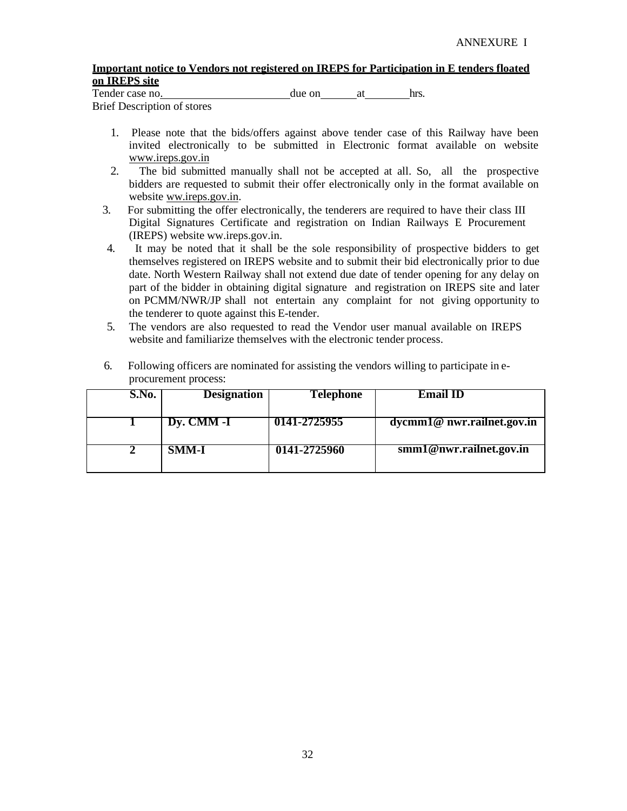## **Important notice to Vendors not registered on IREPS for Participation in E tenders floated on IREPS site**

Tender case no.  $\omega$  due on at hrs.

Brief Description of stores

- 1. Please note that the bids/offers against above tender case of this Railway have been invited electronically to be submitted in Electronic format available on website [www.ireps.gov.in](http://www.ireps.gov.in/)
- 2. The bid submitted manually shall not be accepted at all. So, all the prospective bidders are requested to submit their offer electronically only in the format available on website ww.ireps.gov.in.
- 3. For submitting the offer electronically, the tenderers are required to have their class III Digital Signatures Certificate and registration on Indian Railways E Procurement (IREPS) website ww.ireps.gov.in.
- 4. It may be noted that it shall be the sole responsibility of prospective bidders to get themselves registered on IREPS website and to submit their bid electronically prior to due date. North Western Railway shall not extend due date of tender opening for any delay on part of the bidder in obtaining digital signature and registration on IREPS site and later on PCMM/NWR/JP shall not entertain any complaint for not giving opportunity to the tenderer to quote against this E-tender.
- 5. The vendors are also requested to read the Vendor user manual available on IREPS website and familiarize themselves with the electronic tender process.

| S.No. | <b>Designation</b> | Telephone    | <b>Email ID</b>                  |
|-------|--------------------|--------------|----------------------------------|
|       | Dy. CMM -I         | 0141-2725955 | $d$ ycmm $1@$ nwr.railnet.gov.in |
|       | <b>SMM-I</b>       | 0141-2725960 | smm1@nwr.railnet.gov.in          |

6. Following officers are nominated for assisting the vendors willing to participate in eprocurement process: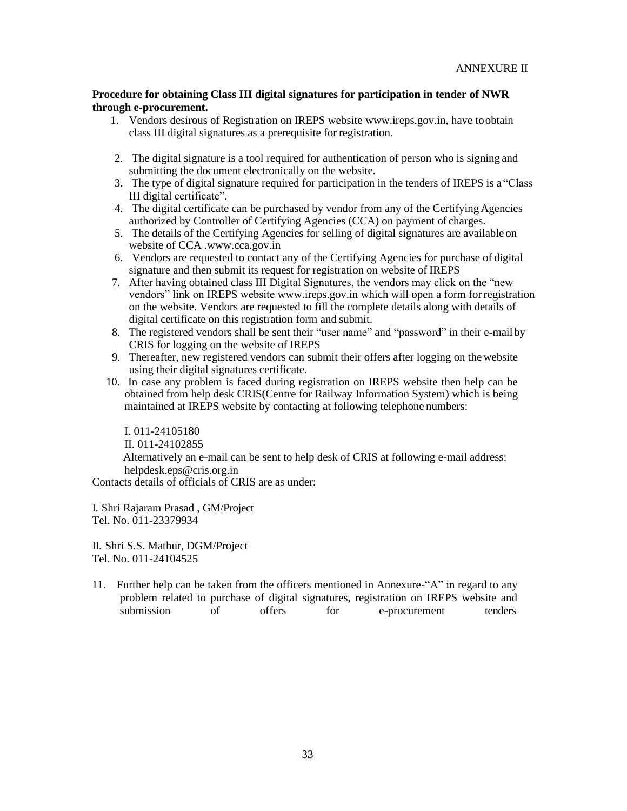#### **Procedure for obtaining Class III digital signatures for participation in tender of NWR through e-procurement.**

- 1. Vendors desirous of Registration on IREPS websit[e www.ireps.gov.in, h](http://www.ireps.gov.in/)ave toobtain class III digital signatures as a prerequisite for registration.
- 2. The digital signature is a tool required for authentication of person who is signing and submitting the document electronically on the website.
- 3. The type of digital signature required for participation in the tenders of IREPS is a "Class III digital certificate".
- 4. The digital certificate can be purchased by vendor from any of the Certifying Agencies authorized by Controller of Certifying Agencies (CCA) on payment of charges.
- 5. The details of the Certifying Agencies for selling of digital signatures are available on website of CCA [.www.cca.gov.in](http://www.cca.gov.in/)
- 6. Vendors are requested to contact any of the Certifying Agencies for purchase of digital signature and then submit its request for registration on website of IREPS
- 7. After having obtained class III Digital Signatures, the vendors may click on the "new vendors" link on IREPS website [www.ireps.gov.in w](http://www.ireps.gov.in/)hich will open a form forregistration on the website. Vendors are requested to fill the complete details along with details of digital certificate on this registration form and submit.
- 8. The registered vendors shall be sent their "user name" and "password" in their e-mail by CRIS for logging on the website of IREPS
- 9. Thereafter, new registered vendors can submit their offers after logging on the website using their digital signatures certificate.
- 10. In case any problem is faced during registration on IREPS website then help can be obtained from help desk CRIS(Centre for Railway Information System) which is being maintained at IREPS website by contacting at following telephone numbers:

I. 011-24105180 II. 011-24102855 Alternatively an e-mail can be sent to help desk of CRIS at following e-mail address: [helpdesk.eps@cris.org.in](mailto:helpdesk.eps@cris.org.in)

Contacts details of officials of CRIS are as under:

I. Shri Rajaram Prasad , GM/Project Tel. No. 011-23379934

II. Shri S.S. Mathur, DGM/Project Tel. No. 011-24104525

11. Further help can be taken from the officers mentioned in Annexure-"A" in regard to any problem related to purchase of digital signatures, registration on IREPS website and<br>submission of offers for e-procurement tenders of offers for e-procurement tenders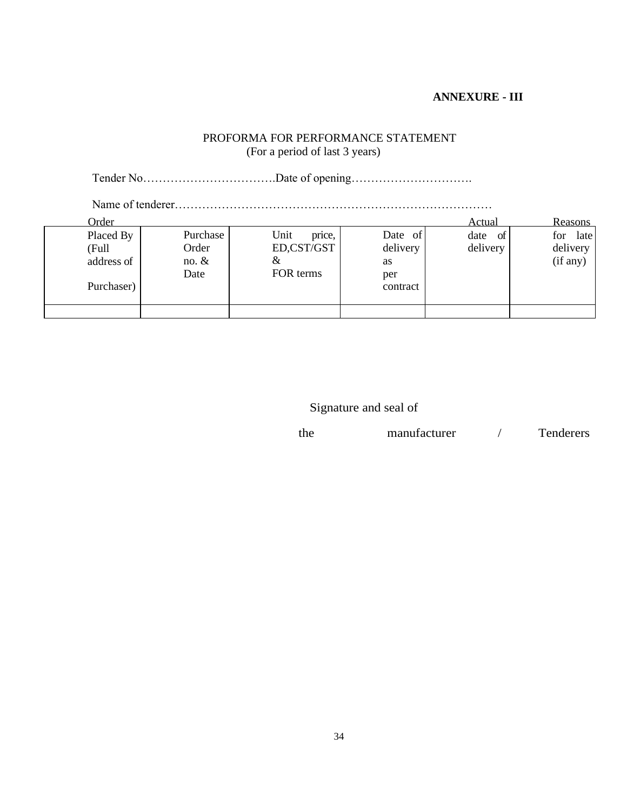# **ANNEXURE - III**

# PROFORMA FOR PERFORMANCE STATEMENT (For a period of last 3 years)

Tender No…………………………….Date of opening………………………….

Name of tenderer………………………………………………………………………

| Order                            |                                      |                                                |                                  | Actual                 | <b>Reasons</b>                      |
|----------------------------------|--------------------------------------|------------------------------------------------|----------------------------------|------------------------|-------------------------------------|
| Placed By<br>(Full<br>address of | Purchase<br>Order<br>no. $&$<br>Date | Unit<br>price,<br>ED,CST/GST<br>&<br>FOR terms | Date of<br>delivery<br>as<br>per | of<br>date<br>delivery | late<br>for<br>delivery<br>(if any) |
| Purchaser)                       |                                      |                                                | contract                         |                        |                                     |
|                                  |                                      |                                                |                                  |                        |                                     |

Signature and seal of

| <b>Tenderers</b> |
|------------------|
|                  |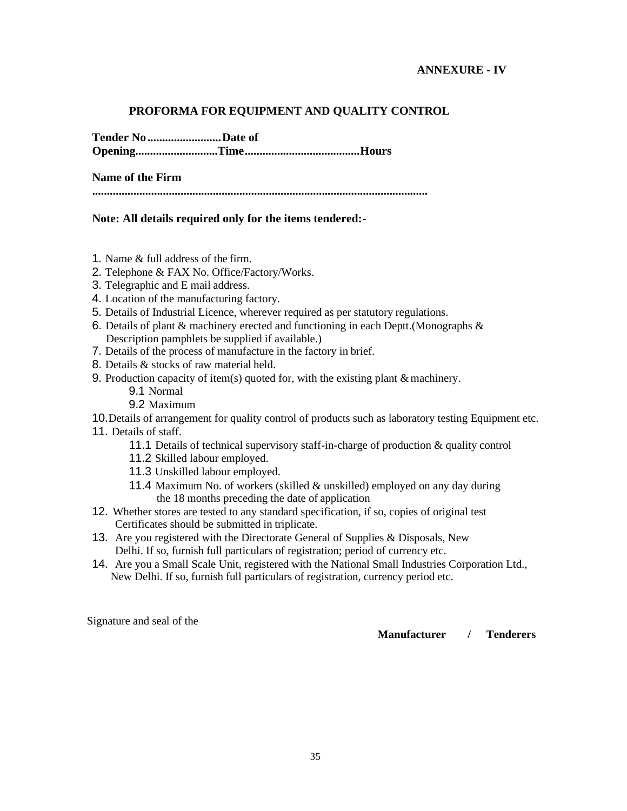# **PROFORMA FOR EQUIPMENT AND QUALITY CONTROL**

**Tender No.........................Date of**

**Opening............................Time.......................................Hours**

**Name of the Firm**

**..................................................................................................................**

# **Note: All details required only for the items tendered:-**

- 1. Name & full address of the firm.
- 2. Telephone & FAX No. Office/Factory/Works.
- 3. Telegraphic and E mail address.
- 4. Location of the manufacturing factory.
- 5. Details of Industrial Licence, wherever required as per statutory regulations.
- 6. Details of plant & machinery erected and functioning in each Deptt.(Monographs & Description pamphlets be supplied if available.)
- 7. Details of the process of manufacture in the factory in brief.
- 8. Details & stocks of raw material held.
- 9. Production capacity of item(s) quoted for, with the existing plant  $&$  machinery.
	- 9.1 Normal
	- 9.2 Maximum

10.Details of arrangement for quality control of products such as laboratory testing Equipment etc. 11. Details of staff.

- 11.1 Details of technical supervisory staff-in-charge of production & quality control
- 11.2 Skilled labour employed.
- 11.3 Unskilled labour employed.
- 11.4 Maximum No. of workers (skilled & unskilled) employed on any day during the 18 months preceding the date of application
- 12. Whether stores are tested to any standard specification, if so, copies of original test Certificates should be submitted in triplicate.
- 13. Are you registered with the Directorate General of Supplies & Disposals, New Delhi. If so, furnish full particulars of registration; period of currency etc.
- 14. Are you a Small Scale Unit, registered with the National Small Industries Corporation Ltd., New Delhi. If so, furnish full particulars of registration, currency period etc.

Signature and seal of the

**Manufacturer / Tenderers**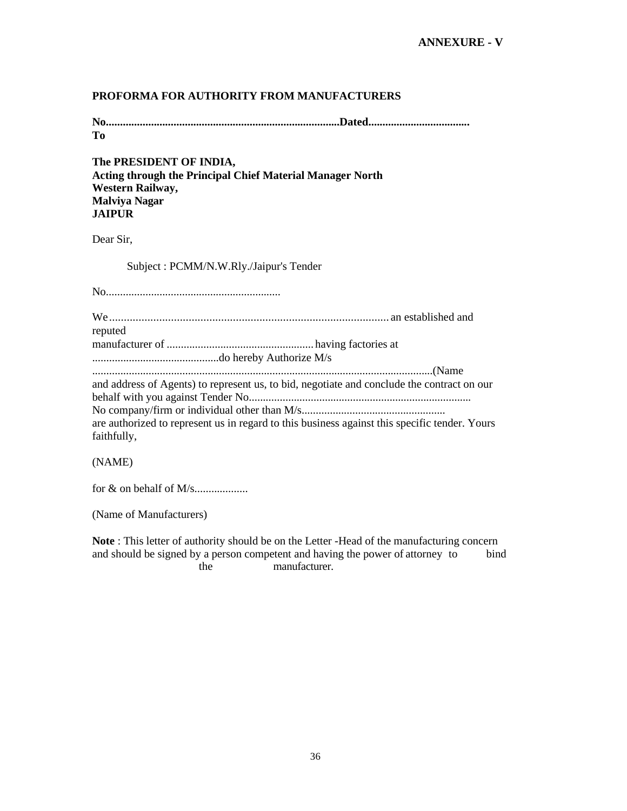# **PROFORMA FOR AUTHORITY FROM MANUFACTURERS**

**No...................................................................................Dated.................................... To**

**The PRESIDENT OF INDIA, Acting through the Principal Chief Material Manager North Western Railway, Malviya Nagar JAIPUR**

Dear Sir,

Subject : PCMM/N.W.Rly./Jaipur's Tender

No..............................................................

| reputed                                                                                       |
|-----------------------------------------------------------------------------------------------|
|                                                                                               |
|                                                                                               |
|                                                                                               |
| and address of Agents) to represent us, to bid, negotiate and conclude the contract on our    |
|                                                                                               |
|                                                                                               |
| are authorized to represent us in regard to this business against this specific tender. Yours |
| faithfully,                                                                                   |

(NAME)

for & on behalf of M/s...................

(Name of Manufacturers)

**Note** : This letter of authority should be on the Letter -Head of the manufacturing concern and should be signed by a person competent and having the power of attorney to bind the manufacturer.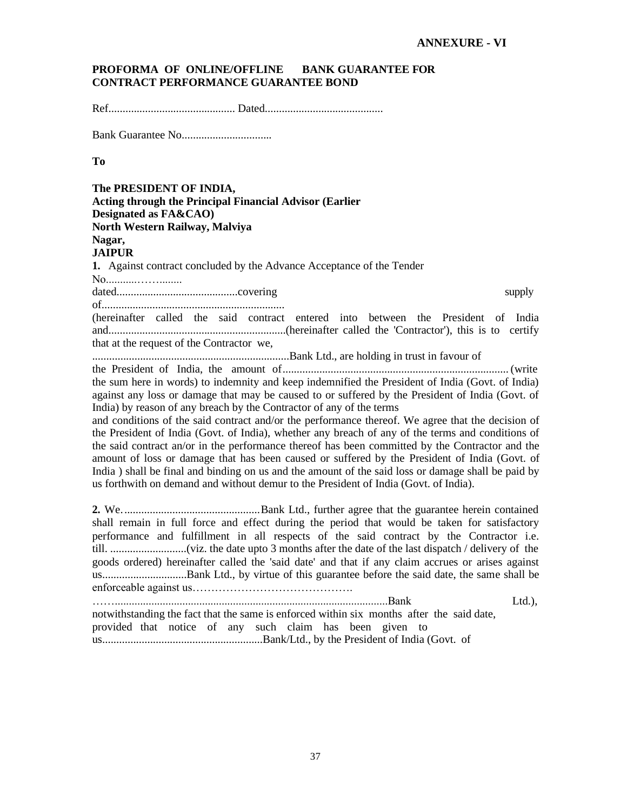#### **PROFORMA OF ONLINE/OFFLINE BANK GUARANTEE FOR CONTRACT PERFORMANCE GUARANTEE BOND**

Ref............................................. Dated..........................................

**Bank Guarantee No................................** 

#### **To**

**The PRESIDENT OF INDIA, Acting through the Principal Financial Advisor (Earlier Designated as FA&CAO) North Western Railway, Malviya Nagar, JAIPUR 1.** Against contract concluded by the Advance Acceptance of the Tender No...........……........ dated...........................................covering supply of.................................................................

(hereinafter called the said contract entered into between the President of India and...............................................................(hereinafter called the 'Contractor'), this is to certify that at the request of the Contractor we,

......................................................................Bank Ltd., are holding in trust in favour of

the President of India, the amount of................................................................................ (write the sum here in words) to indemnity and keep indemnified the President of India (Govt. of India) against any loss or damage that may be caused to or suffered by the President of India (Govt. of India) by reason of any breach by the Contractor of any of the terms

and conditions of the said contract and/or the performance thereof. We agree that the decision of the President of India (Govt. of India), whether any breach of any of the terms and conditions of the said contract an/or in the performance thereof has been committed by the Contractor and the amount of loss or damage that has been caused or suffered by the President of India (Govt. of India ) shall be final and binding on us and the amount of the said loss or damage shall be paid by us forthwith on demand and without demur to the President of India (Govt. of India).

**2.** We.................................................Bank Ltd., further agree that the guarantee herein contained shall remain in full force and effect during the period that would be taken for satisfactory performance and fulfillment in all respects of the said contract by the Contractor i.e. till. ...........................(viz. the date upto 3 months after the date of the last dispatch / delivery of the goods ordered) hereinafter called the 'said date' and that if any claim accrues or arises against us..............................Bank Ltd., by virtue of this guarantee before the said date, the same shall be enforceable against us……………………………………. …….................................................................................................Bank Ltd.),

notwithstanding the fact that the same is enforced within six months after the said date, provided that notice of any such claim has been given to us.........................................................Bank/Ltd., by the President of India (Govt. of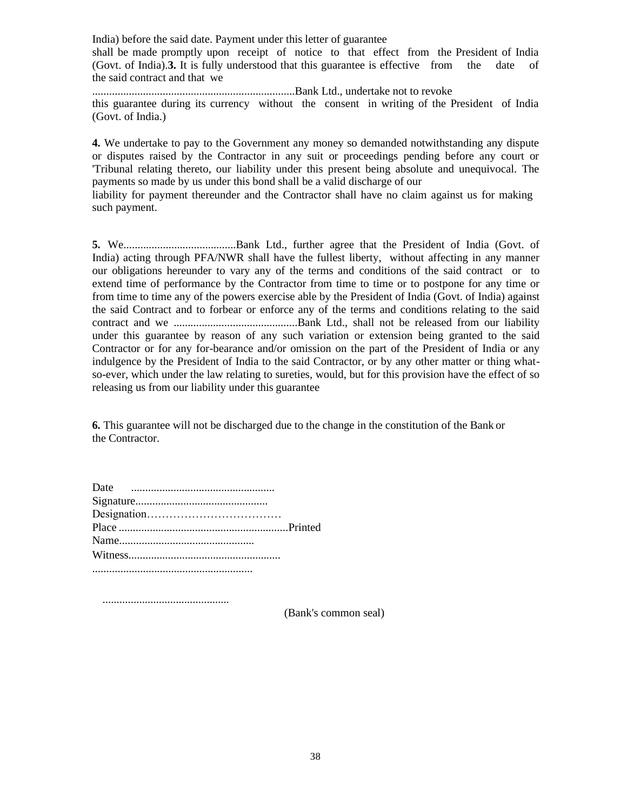India) before the said date. Payment under this letter of guarantee

shall be made promptly upon receipt of notice to that effect from the President of India (Govt. of India).**3.** It is fully understood that this guarantee is effective from the date of the said contract and that we

........................................................................Bank Ltd., undertake not to revoke this guarantee during its currency without the consent in writing of the President of India (Govt. of India.)

**4.** We undertake to pay to the Government any money so demanded notwithstanding any dispute or disputes raised by the Contractor in any suit or proceedings pending before any court or 'Tribunal relating thereto, our liability under this present being absolute and unequivocal. The payments so made by us under this bond shall be a valid discharge of our

liability for payment thereunder and the Contractor shall have no claim against us for making such payment.

**5.** We........................................Bank Ltd., further agree that the President of India (Govt. of India) acting through PFA/NWR shall have the fullest liberty, without affecting in any manner our obligations hereunder to vary any of the terms and conditions of the said contract or to extend time of performance by the Contractor from time to time or to postpone for any time or from time to time any of the powers exercise able by the President of India (Govt. of India) against the said Contract and to forbear or enforce any of the terms and conditions relating to the said contract and we ............................................Bank Ltd., shall not be released from our liability under this guarantee by reason of any such variation or extension being granted to the said Contractor or for any for-bearance and/or omission on the part of the President of India or any indulgence by the President of India to the said Contractor, or by any other matter or thing whatso-ever, which under the law relating to sureties, would, but for this provision have the effect of so releasing us from our liability under this guarantee

**6.** This guarantee will not be discharged due to the change in the constitution of the Bank or the Contractor.

.............................................

(Bank's common seal)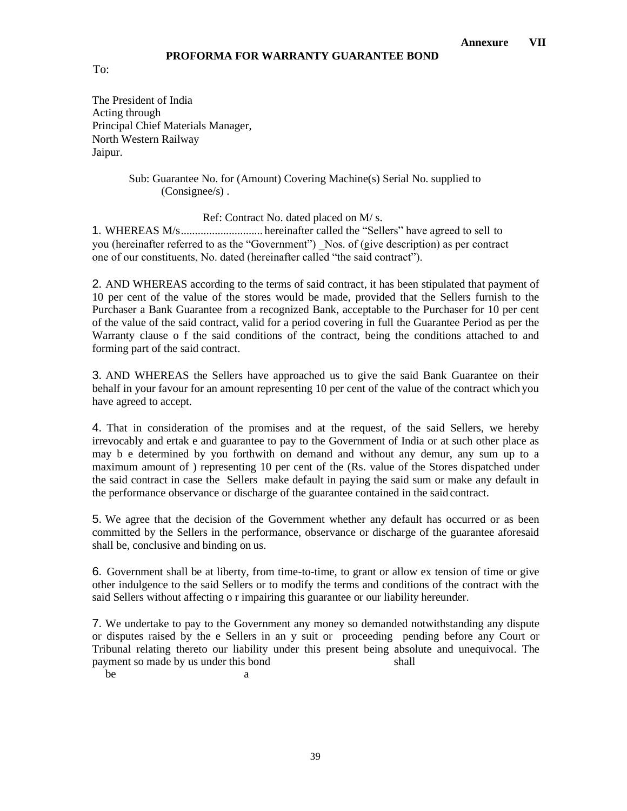To:

The President of India Acting through Principal Chief Materials Manager, North Western Railway Jaipur.

#### Sub: Guarantee No. for (Amount) Covering Machine(s) Serial No. supplied to (Consignee/s) .

Ref: Contract No. dated placed on M/ s.

1. WHEREAS M/s............................. hereinafter called the "Sellers" have agreed to sell to you (hereinafter referred to as the "Government") Nos. of (give description) as per contract one of our constituents, No. dated (hereinafter called "the said contract").

2. AND WHEREAS according to the terms of said contract, it has been stipulated that payment of 10 per cent of the value of the stores would be made, provided that the Sellers furnish to the Purchaser a Bank Guarantee from a recognized Bank, acceptable to the Purchaser for 10 per cent of the value of the said contract, valid for a period covering in full the Guarantee Period as per the Warranty clause o f the said conditions of the contract, being the conditions attached to and forming part of the said contract.

3. AND WHEREAS the Sellers have approached us to give the said Bank Guarantee on their behalf in your favour for an amount representing 10 per cent of the value of the contract which you have agreed to accept.

4. That in consideration of the promises and at the request, of the said Sellers, we hereby irrevocably and ertak e and guarantee to pay to the Government of India or at such other place as may b e determined by you forthwith on demand and without any demur, any sum up to a maximum amount of ) representing 10 per cent of the (Rs. value of the Stores dispatched under the said contract in case the Sellers make default in paying the said sum or make any default in the performance observance or discharge of the guarantee contained in the said contract.

5. We agree that the decision of the Government whether any default has occurred or as been committed by the Sellers in the performance, observance or discharge of the guarantee aforesaid shall be, conclusive and binding on us.

6. Government shall be at liberty, from time-to-time, to grant or allow ex tension of time or give other indulgence to the said Sellers or to modify the terms and conditions of the contract with the said Sellers without affecting o r impairing this guarantee or our liability hereunder.

7. We undertake to pay to the Government any money so demanded notwithstanding any dispute or disputes raised by the e Sellers in an y suit or proceeding pending before any Court or Tribunal relating thereto our liability under this present being absolute and unequivocal. The payment so made by us under this bond shall be a set of the set of the set of the set of the set of the set of the set of the set of the set of the set of the set of the set of the set of the set of the set of the set of the set of the set of the set of the set of t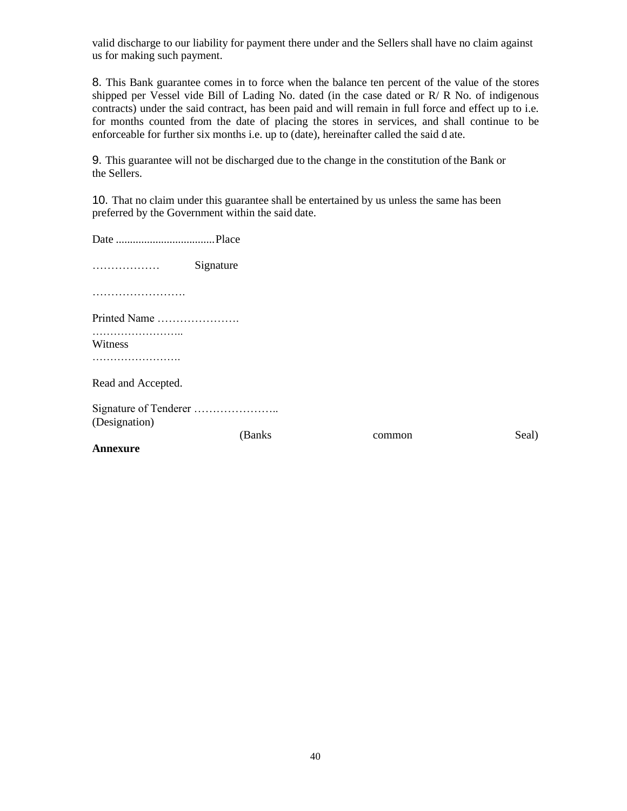valid discharge to our liability for payment there under and the Sellers shall have no claim against us for making such payment.

8. This Bank guarantee comes in to force when the balance ten percent of the value of the stores shipped per Vessel vide Bill of Lading No. dated (in the case dated or R/ R No. of indigenous contracts) under the said contract, has been paid and will remain in full force and effect up to i.e. for months counted from the date of placing the stores in services, and shall continue to be enforceable for further six months i.e. up to (date), hereinafter called the said d ate.

9. This guarantee will not be discharged due to the change in the constitution ofthe Bank or the Sellers.

10. That no claim under this guarantee shall be entertained by us unless the same has been preferred by the Government within the said date.

| .                  | Signature |        |       |
|--------------------|-----------|--------|-------|
|                    |           |        |       |
| Printed Name       |           |        |       |
| Witness            |           |        |       |
|                    |           |        |       |
| Read and Accepted. |           |        |       |
| (Designation)      |           |        |       |
|                    | (Banks)   | common | Seal) |
| Annexure           |           |        |       |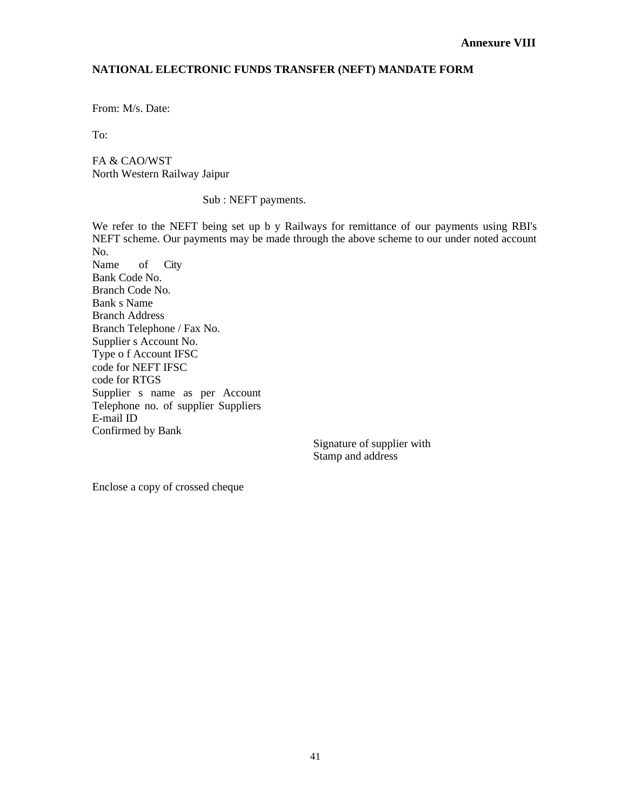## **NATIONAL ELECTRONIC FUNDS TRANSFER (NEFT) MANDATE FORM**

From: M/s. Date:

To:

FA & CAO/WST North Western Railway Jaipur

Sub : NEFT payments.

We refer to the NEFT being set up b y Railways for remittance of our payments using RBI's NEFT scheme. Our payments may be made through the above scheme to our under noted account No. Name of City Bank Code No. Branch Code No. Bank s Name Branch Address Branch Telephone / Fax No. Supplier s Account No. Type o f Account IFSC code for NEFT IFSC code for RTGS Supplier s name as per Account Telephone no. of supplier Suppliers E-mail ID Confirmed by Bank

Signature of supplier with Stamp and address

Enclose a copy of crossed cheque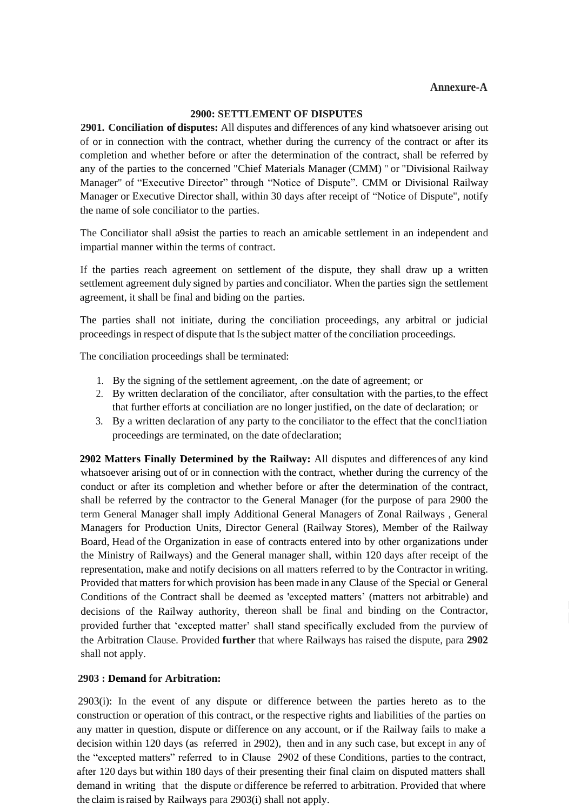## **Annexure-A**

#### **2900: SETTLEMENT OF DISPUTES**

**2901. Conciliation of disputes:** All disputes and differences of any kind whatsoever arising out of or in connection with the contract, whether during the currency of the contract or after its completion and whether before or after the determination of the contract, shall be referred by any of the parties to the concerned "Chief Materials Manager (CMM) " or "Divisional Railway Manager" of "Executive Director" through "Notice of Dispute". CMM or Divisional Railway Manager or Executive Director shall, within 30 days after receipt of "Notice of Dispute", notify the name of sole conciliator to the parties.

The Conciliator shall a9sist the parties to reach an amicable settlement in an independent and impartial manner within the terms of contract.

If the parties reach agreement on settlement of the dispute, they shall draw up a written settlement agreement duly signed by parties and conciliator. When the parties sign the settlement agreement, it shall be final and biding on the parties.

The parties shall not initiate, during the conciliation proceedings, any arbitral or judicial proceedings in respect of dispute that Is the subject matter of the conciliation proceedings.

The conciliation proceedings shall be terminated:

- 1. By the signing of the settlement agreement, .on the date of agreement; or
- 2. By written declaration of the conciliator, after consultation with the parties,to the effect that further efforts at conciliation are no longer justified, on the date of declaration; or
- 3. By a written declaration of any party to the conciliator to the effect that the concl1iation proceedings are terminated, on the date of declaration;

**2902 Matters Finally Determined by the Railway:** All disputes and differences of any kind whatsoever arising out of or in connection with the contract, whether during the currency of the conduct or after its completion and whether before or after the determination of the contract, shall be referred by the contractor to the General Manager (for the purpose of para 2900 the term General Manager shall imply Additional General Managers of Zonal Railways , General Managers for Production Units, Director General (Railway Stores), Member of the Railway Board, Head of the Organization in ease of contracts entered into by other organizations under the Ministry of Railways) and the General manager shall, within 120 days after receipt of the representation, make and notify decisions on all matters referred to by the Contractor in writing. Provided that matters for which provision has been made in any Clause of the Special or General Conditions of the Contract shall be deemed as 'excepted matters' (matters not arbitrable) and decisions of the Railway authority, thereon shall be final and binding on the Contractor, provided further that 'excepted matter' shall stand specifically excluded from the purview of the Arbitration Clause. Provided **further** that where Railways has raised the dispute, para **2902**  shall not apply.

#### **2903 : Demand for Arbitration:**

2903(i): In the event of any dispute or difference between the parties hereto as to the construction or operation of this contract, or the respective rights and liabilities of the parties on any matter in question, dispute or difference on any account, or if the Railway fails to make a decision within 120 days (as referred in 2902), then and in any such case, but except in any of the "excepted matters" referred to in Clause 2902 of these Conditions, parties to the contract, after 120 days but within 180 days of their presenting their final claim on disputed matters shall demand in writing that the dispute or difference be referred to arbitration. Provided that where the claim israised by Railways para 2903(i) shall not apply.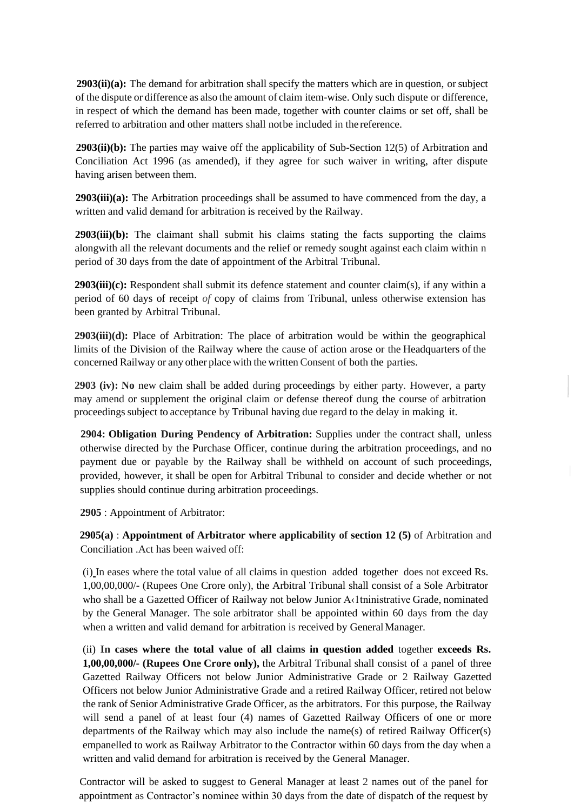**2903(ii)(a):** The demand for arbitration shall specify the matters which are in question, orsubject of the dispute or difference as also the amount of claim item-wise. Only such dispute or difference, in respect of which the demand has been made, together with counter claims or set off, shall be referred to arbitration and other matters shall notbe included in the reference.

**2903(ii)(b):** The parties may waive off the applicability of Sub-Section 12(5) of Arbitration and Conciliation Act 1996 (as amended), if they agree for such waiver in writing, after dispute having arisen between them.

**2903(iii)(a):** The Arbitration proceedings shall be assumed to have commenced from the day, a written and valid demand for arbitration is received by the Railway.

**2903(iii)(b):** The claimant shall submit his claims stating the facts supporting the claims alongwith all the relevant documents and the relief or remedy sought against each claim within n period of 30 days from the date of appointment of the Arbitral Tribunal.

**2903(iii)(c):** Respondent shall submit its defence statement and counter claim(s), if any within a period of 60 days of receipt *of* copy of claims from Tribunal, unless otherwise extension has been granted by Arbitral Tribunal.

**2903(iii)(d):** Place of Arbitration: The place of arbitration would be within the geographical limits of the Division of the Railway where the cause of action arose or the Headquarters of the concerned Railway or any other place with the written Consent of both the parties.

**2903 (iv): No** new claim shall be added during proceedings by either party. However, a party may amend or supplement the original claim or defense thereof dung the course of arbitration proceedings subject to acceptance by Tribunal having due regard to the delay in making it.

**2904: Obligation During Pendency of Arbitration:** Supplies under the contract shall, unless otherwise directed by the Purchase Officer, continue during the arbitration proceedings, and no payment due or payable by the Railway shall be withheld on account of such proceedings, provided, however, it shall be open for Arbitral Tribunal to consider and decide whether or not supplies should continue during arbitration proceedings.

**2905** : Appointment of Arbitrator:

**2905(a)** : **Appointment of Arbitrator where applicability of section 12 (5)** of Arbitration and Conciliation .Act has been waived off:

(i) In eases where the total value of all claims in question added together does not exceed Rs. 1,00,00,000/- (Rupees One Crore only), the Arbitral Tribunal shall consist of a Sole Arbitrator who shall be a Gazetted Officer of Railway not below Junior A‹1tninistrative Grade, nominated by the General Manager. The sole arbitrator shall be appointed within 60 days from the day when a written and valid demand for arbitration is received by GeneralManager.

(ii) **In cases where the total value of all claims in question added** together **exceeds Rs. 1,00,00,000/- (Rupees One Crore only),** the Arbitral Tribunal shall consist of a panel of three Gazetted Railway Officers not below Junior Administrative Grade or 2 Railway Gazetted Officers not below Junior Administrative Grade and a retired Railway Officer, retired not below the rank of Senior Administrative Grade Officer, as the arbitrators. For this purpose, the Railway will send a panel of at least four (4) names of Gazetted Railway Officers of one or more departments of the Railway which may also include the name(s) of retired Railway Officer(s) empanelled to work as Railway Arbitrator to the Contractor within 60 days from the day when a written and valid demand for arbitration is received by the General Manager.

Contractor will be asked to suggest to General Manager at least 2 names out of the panel for appointment as Contractor's nominee within 30 days from the date of dispatch of the request by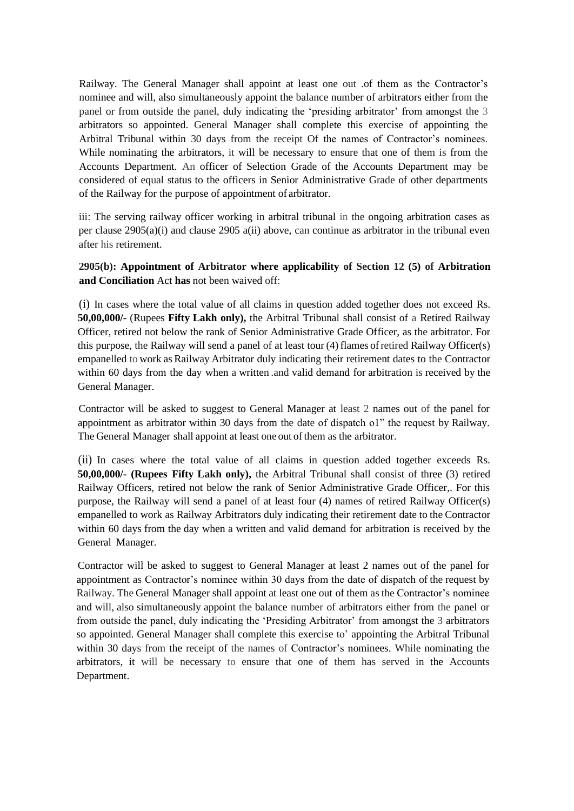Railway. The General Manager shall appoint at least one out of them as the Contractor's nominee and will, also simultaneously appoint the balance number of arbitrators either from the panel or from outside the panel, duly indicating the 'presiding arbitrator' from amongst the 3 arbitrators so appointed. General Manager shall complete this exercise of appointing the Arbitral Tribunal within 30 days from the receipt Of the names of Contractor's nominees. While nominating the arbitrators, it will be necessary to ensure that one of them is from the Accounts Department. An officer of Selection Grade of the Accounts Department may be considered of equal status to the officers in Senior Administrative Grade of other departments of the Railway for the purpose of appointment of arbitrator.

iii: The serving railway officer working in arbitral tribunal in the ongoing arbitration cases as per clause 2905(a)(i) and clause 2905 a(ii) above, can continue as arbitrator in the tribunal even after his retirement.

# **2905(b): Appointment of Arbitrator where applicability of Section 12 (5) of Arbitration and Conciliation** Act **has** not been waived off:

(i) In cases where the total value of all claims in question added together does not exceed Rs. **50,00,000/-** (Rupees **Fifty Lakh only),** the Arbitral Tribunal shall consist of a Retired Railway Officer, retired not below the rank of Senior Administrative Grade Officer, as the arbitrator. For this purpose, the Railway will send a panel of at least tour (4) flames ofretired Railway Officer(s) empanelled to work as Railway Arbitrator duly indicating their retirement dates to the Contractor within 60 days from the day when a written .and valid demand for arbitration is received by the General Manager.

Contractor will be asked to suggest to General Manager at least 2 names out of the panel for appointment as arbitrator within 30 days from the date of dispatch o1" the request by Railway. The General Manager shall appoint at least one out of them as the arbitrator.

(ii) In cases where the total value of all claims in question added together exceeds Rs. **50,00,000/- (Rupees Fifty Lakh only),** the Arbitral Tribunal shall consist of three (3) retired Railway Officers, retired not below the rank of Senior Administrative Grade Officer,. For this purpose, the Railway will send a panel of at least four (4) names of retired Railway Officer(s) empanelled to work as Railway Arbitrators duly indicating their retirement date to the Contractor within 60 days from the day when a written and valid demand for arbitration is received by the General Manager.

Contractor will be asked to suggest to General Manager at least 2 names out of the panel for appointment as Contractor's nominee within 30 days from the date of dispatch of the request by Railway. The General Manager shall appoint at least one out of them as the Contractor's nominee and will, also simultaneously appoint the balance number of arbitrators either from the panel or from outside the panel, duly indicating the 'Presiding Arbitrator' from amongst the 3 arbitrators so appointed. General Manager shall complete this exercise to' appointing the Arbitral Tribunal within 30 days from the receipt of the names of Contractor's nominees. While nominating the arbitrators, it will be necessary to ensure that one of them has served in the Accounts Department.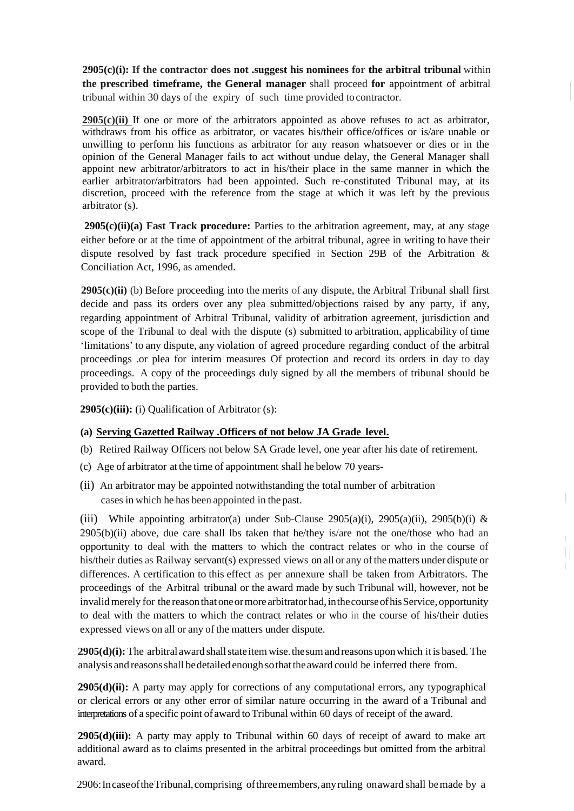**2905(c)(i): If the contractor does not .suggest his nominees for the arbitral tribunal** within **the prescribed timeframe, the General manager** shall proceed **for** appointment of arbitral tribunal within 30 days of the expiry of such time provided tocontractor.

**2905(c)(ii)** If one or more of the arbitrators appointed as above refuses to act as arbitrator, withdraws from his office as arbitrator, or vacates his/their office/offices or is/are unable or unwilling to perform his functions as arbitrator for any reason whatsoever or dies or in the opinion of the General Manager fails to act without undue delay, the General Manager shall appoint new arbitrator/arbitrators to act in his/their place in the same manner in which the earlier arbitrator/arbitrators had been appointed. Such re-constituted Tribunal may, at its discretion, proceed with the reference from the stage at which it was left by the previous arbitrator (s).

**2905(c)(ii)(a) Fast Track procedure:** Parties to the arbitration agreement, may, at any stage either before or at the time of appointment of the arbitral tribunal, agree in writing to have their dispute resolved by fast track procedure specified in Section 29B of the Arbitration & Conciliation Act, 1996, as amended.

**2905(c)(ii)** (b) Before proceeding into the merits of any dispute, the Arbitral Tribunal shall first decide and pass its orders over any plea submitted/objections raised by any party, if any, regarding appointment of Arbitral Tribunal, validity of arbitration agreement, jurisdiction and scope of the Tribunal to deal with the dispute (s) submitted to arbitration, applicability of time 'limitations' to any dispute, any violation of agreed procedure regarding conduct of the arbitral proceedings .or plea for interim measures Of protection and record its orders in day to day proceedings. A copy of the proceedings duly signed by all the members of tribunal should be provided to both the parties.

**2905(c)(iii):** (i) Qualification of Arbitrator (s):

# **(a) Serving Gazetted Railway .Officers of not below JA Grade level.**

- (b) Retired Railway Officers not below SA Grade level, one year after his date of retirement.
- (c) Age of arbitrator at the time of appointment shall he below 70 years-
- (ii) An arbitrator may be appointed notwithstanding the total number of arbitration cases in which he has been appointed in the past.

(iii) While appointing arbitrator(a) under Sub-Clause 2905(a)(i), 2905(a)(ii), 2905(b)(i) &  $2905(b)(ii)$  above, due care shall lbs taken that he/they is/are not the one/those who had an opportunity to deal with the matters to which the contract relates or who in the course of his/their duties as Railway servant(s) expressed views on all or any of the matters under dispute or differences. A certification to this effect as per annexure shall be taken from Arbitrators. The proceedings of the Arbitral tribunal or the award made by such Tribunal will, however, not be invalid merely for the reason that one or more arbitrator had, in the course of his Service, opportunity to deal with the matters to which the contract relates or who in the course of his/their duties expressed views on all or any of the matters under dispute.

 $\left|\right|$ 

**2905(d)(i):** The arbitral award shall state item wise, the sum and reasons upon which it is based. The analysis and reasonsshall bedetailed enough sothattheaward could be inferred there from.

**2905(d)(ii):** A party may apply for corrections of any computational errors, any typographical or clerical errors or any other error of similar nature occurring in the award of a Tribunal and interpretations of a specific point of award toTribunal within 60 days of receipt of the award.

**2905(d)(iii):** A party may apply to Tribunal within 60 days of receipt of award to make art additional award as to claims presented in the arbitral proceedings but omitted from the arbitral award.

2906:IncaseoftheTribunal,comprising ofthreemembers,anyruling onaward shall bemade by a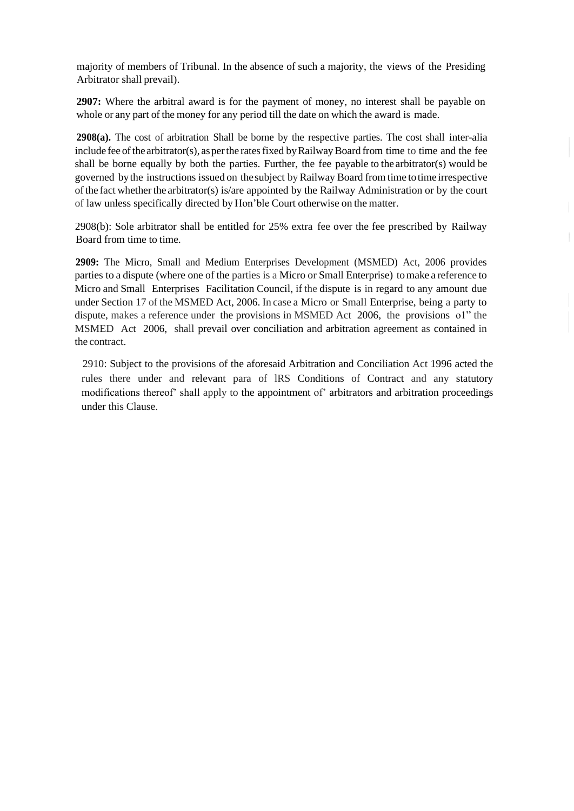majority of members of Tribunal. In the absence of such a majority, the views of the Presiding Arbitrator shall prevail).

**2907:** Where the arbitral award is for the payment of money, no interest shall be payable on whole or any part of the money for any period till the date on which the award is made.

**2908(a).** The cost of arbitration Shall be borne by the respective parties. The cost shall inter-alia include fee of the arbitrator(s), as per the rates fixed by Railway Board from time to time and the fee shall be borne equally by both the parties. Further, the fee payable to the arbitrator(s) would be governed bythe instructions issued on thesubject byRailway Board from time totime irrespective ofthe fact whetherthe arbitrator(s) is/are appointed by the Railway Administration or by the court of law unless specifically directed by Hon'ble Court otherwise on the matter.

2908(b): Sole arbitrator shall be entitled for 25% extra fee over the fee prescribed by Railway Board from time to time.

**2909:** The Micro, Small and Medium Enterprises Development (MSMED) Act, 2006 provides parties to a dispute (where one of the parties is a Micro or Small Enterprise) tomake a reference to Micro and Small Enterprises Facilitation Council, if the dispute is in regard to any amount due under Section 17 of the MSMED Act, 2006. In case a Micro or Small Enterprise, being a party to dispute, makes a reference under the provisions in MSMED Act 2006, the provisions o1" the MSMED Act 2006, shall prevail over conciliation and arbitration agreement as contained in the contract.

2910: Subject to the provisions of the aforesaid Arbitration and Conciliation Act 1996 acted the rules there under and relevant para of lRS Conditions of Contract and any statutory modifications thereof' shall apply to the appointment of' arbitrators and arbitration proceedings under this Clause.